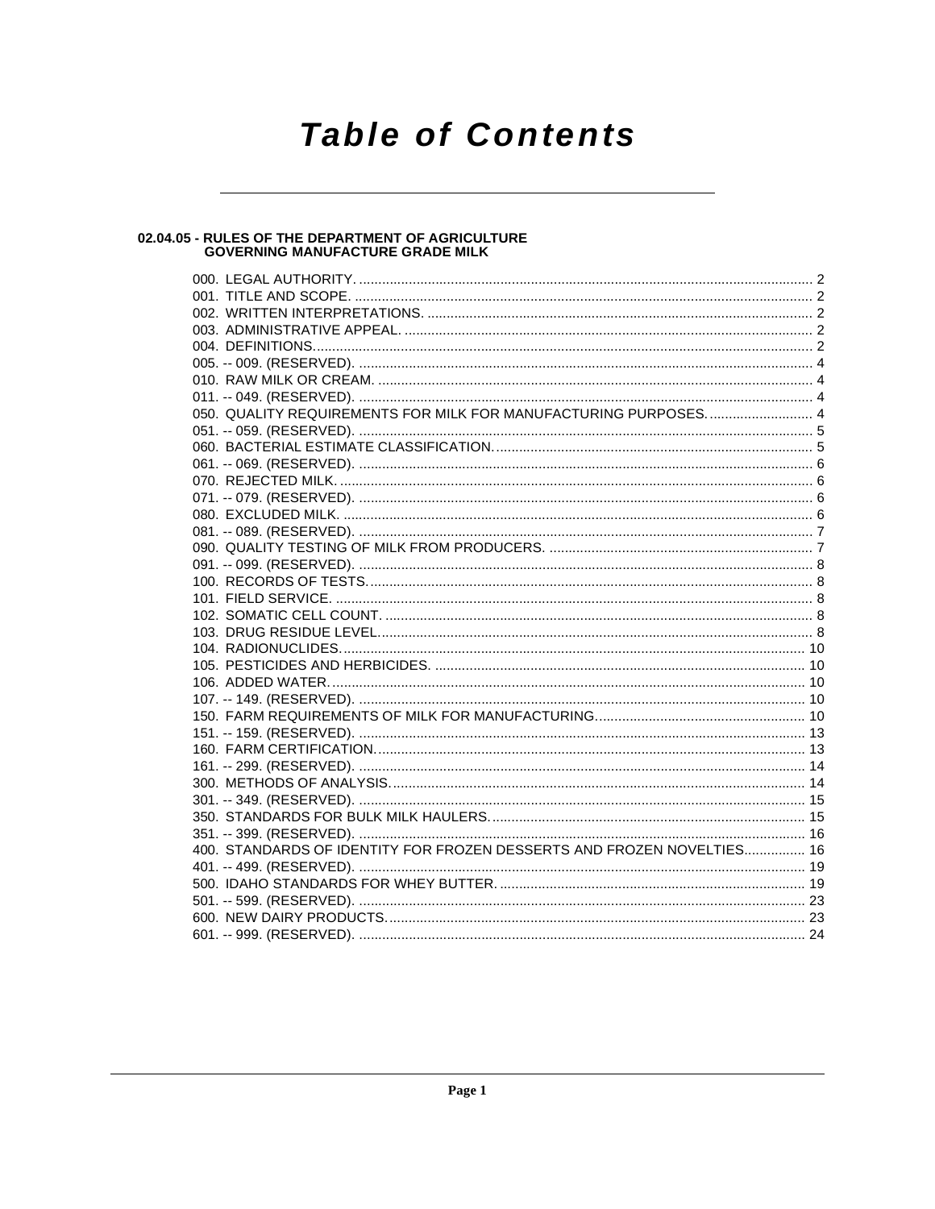# **Table of Contents**

## 02.04.05 - RULES OF THE DEPARTMENT OF AGRICULTURE<br>GOVERNING MANUFACTURE GRADE MILK

| 050. QUALITY REQUIREMENTS FOR MILK FOR MANUFACTURING PURPOSES 4        |  |
|------------------------------------------------------------------------|--|
|                                                                        |  |
|                                                                        |  |
|                                                                        |  |
|                                                                        |  |
|                                                                        |  |
|                                                                        |  |
|                                                                        |  |
|                                                                        |  |
|                                                                        |  |
|                                                                        |  |
|                                                                        |  |
|                                                                        |  |
|                                                                        |  |
|                                                                        |  |
|                                                                        |  |
|                                                                        |  |
|                                                                        |  |
|                                                                        |  |
|                                                                        |  |
|                                                                        |  |
|                                                                        |  |
|                                                                        |  |
|                                                                        |  |
|                                                                        |  |
|                                                                        |  |
| 400. STANDARDS OF IDENTITY FOR FROZEN DESSERTS AND FROZEN NOVELTIES 16 |  |
|                                                                        |  |
|                                                                        |  |
|                                                                        |  |
|                                                                        |  |
|                                                                        |  |
|                                                                        |  |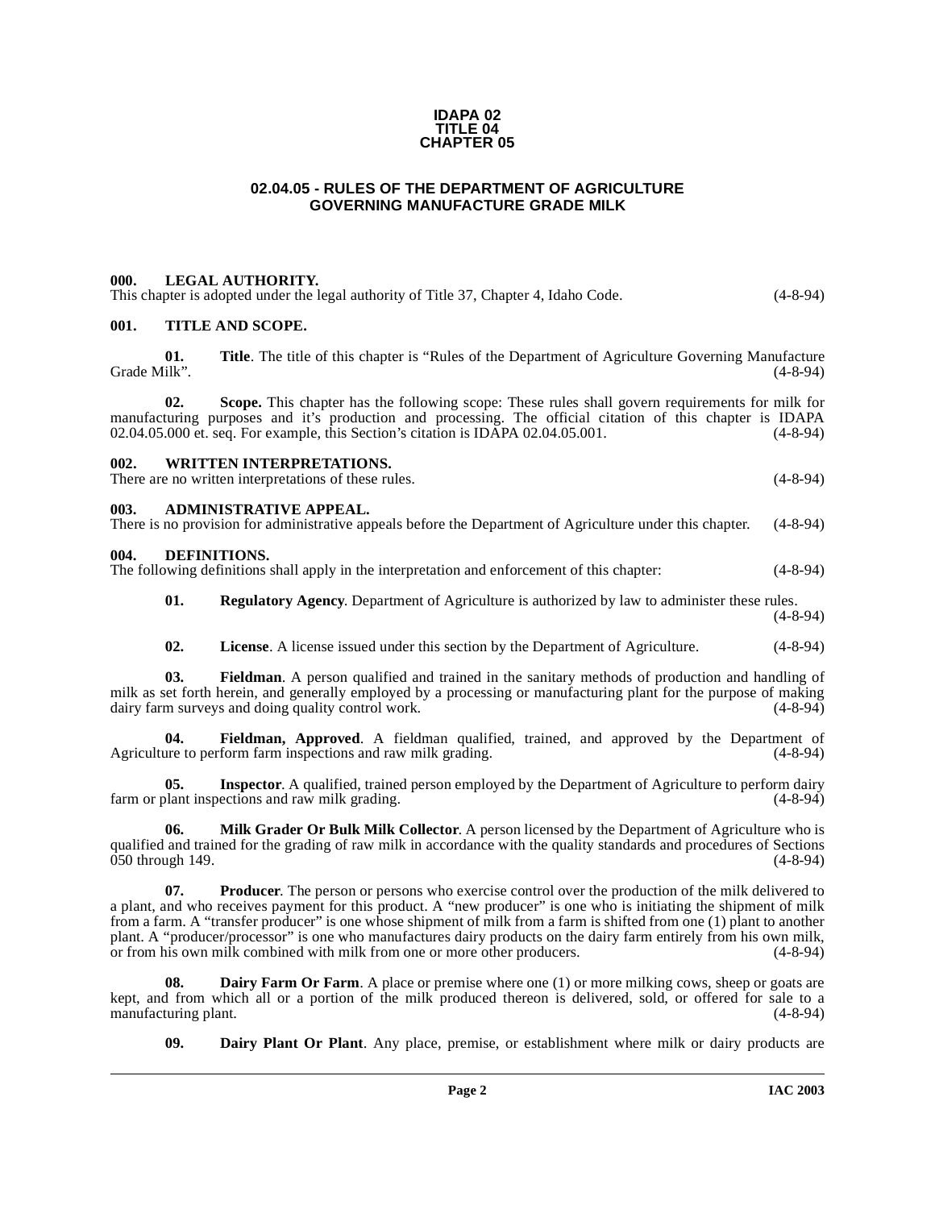#### **IDAPA 02 TITLE 04 CHAPTER 05**

#### **02.04.05 - RULES OF THE DEPARTMENT OF AGRICULTURE GOVERNING MANUFACTURE GRADE MILK**

#### <span id="page-1-1"></span><span id="page-1-0"></span>**000. LEGAL AUTHORITY.**  This chapter is adopted under the legal authority of Title 37, Chapter 4, Idaho Code. (4-8-94)

<span id="page-1-4"></span><span id="page-1-3"></span><span id="page-1-2"></span>

| 001.         |     | <b>TITLE AND SCOPE.</b>                                                                                                                                                                                                                                                                           |            |
|--------------|-----|---------------------------------------------------------------------------------------------------------------------------------------------------------------------------------------------------------------------------------------------------------------------------------------------------|------------|
| Grade Milk". | 01. | Title. The title of this chapter is "Rules of the Department of Agriculture Governing Manufacture                                                                                                                                                                                                 | $(4-8-94)$ |
|              | 02. | Scope. This chapter has the following scope: These rules shall govern requirements for milk for<br>manufacturing purposes and it's production and processing. The official citation of this chapter is IDAPA<br>02.04.05.000 et. seq. For example, this Section's citation is IDAPA 02.04.05.001. | $(4-8-94)$ |
| 002.         |     | <b>WRITTEN INTERPRETATIONS.</b><br>There are no written interpretations of these rules.                                                                                                                                                                                                           | $(4-8-94)$ |
| 003.         |     | <b>ADMINISTRATIVE APPEAL.</b><br>There is no provision for administrative appeals before the Department of Agriculture under this chapter.                                                                                                                                                        | $(4-8-94)$ |
| 004.         |     | <b>DEFINITIONS.</b><br>The following definitions shall apply in the interpretation and enforcement of this chapter:                                                                                                                                                                               | $(4-8-94)$ |
|              | 01. | <b>Regulatory Agency.</b> Department of Agriculture is authorized by law to administer these rules.                                                                                                                                                                                               | $(4-8-94)$ |
|              | 02. | <b>License.</b> A license issued under this section by the Department of Agriculture.                                                                                                                                                                                                             | $(4-8-94)$ |
|              | 03. | Fieldman. A person qualified and trained in the sanitary methods of production and handling of<br>milk as set forth herein, and generally employed by a processing or manufacturing plant for the purpose of making<br>dairy farm surveys and doing quality control work.                         | $(4-8-94)$ |
|              |     | $\mathbf{r}$ , and the set of the set of $\mathbf{r}$                                                                                                                                                                                                                                             |            |

<span id="page-1-14"></span><span id="page-1-10"></span><span id="page-1-9"></span><span id="page-1-8"></span><span id="page-1-5"></span>**04. Fieldman, Approved**. A fieldman qualified, trained, and approved by the Department of ure to perform farm inspections and raw milk grading. (4-8-94) Agriculture to perform farm inspections and raw milk grading.

<span id="page-1-11"></span>**05.** Inspector. A qualified, trained person employed by the Department of Agriculture to perform dairy plant inspections and raw milk grading. farm or plant inspections and raw milk grading.

<span id="page-1-12"></span>**06. Milk Grader Or Bulk Milk Collector**. A person licensed by the Department of Agriculture who is qualified and trained for the grading of raw milk in accordance with the quality standards and procedures of Sections  $\dot{0}50$  through 149. (4-8-94)

<span id="page-1-13"></span>**07. Producer**. The person or persons who exercise control over the production of the milk delivered to a plant, and who receives payment for this product. A "new producer" is one who is initiating the shipment of milk from a farm. A "transfer producer" is one whose shipment of milk from a farm is shifted from one (1) plant to another plant. A "producer/processor" is one who manufactures dairy products on the dairy farm entirely from his own milk, or from his own milk, or from his own milk, or from his own milk combined with milk from one or more other or from his own milk combined with milk from one or more other producers.

**08.** Dairy Farm Or Farm. A place or premise where one (1) or more milking cows, sheep or goats are kept, and from which all or a portion of the milk produced thereon is delivered, sold, or offered for sale to a manufacturing plant. (4-8-94)

<span id="page-1-7"></span><span id="page-1-6"></span>**09. Dairy Plant Or Plant**. Any place, premise, or establishment where milk or dairy products are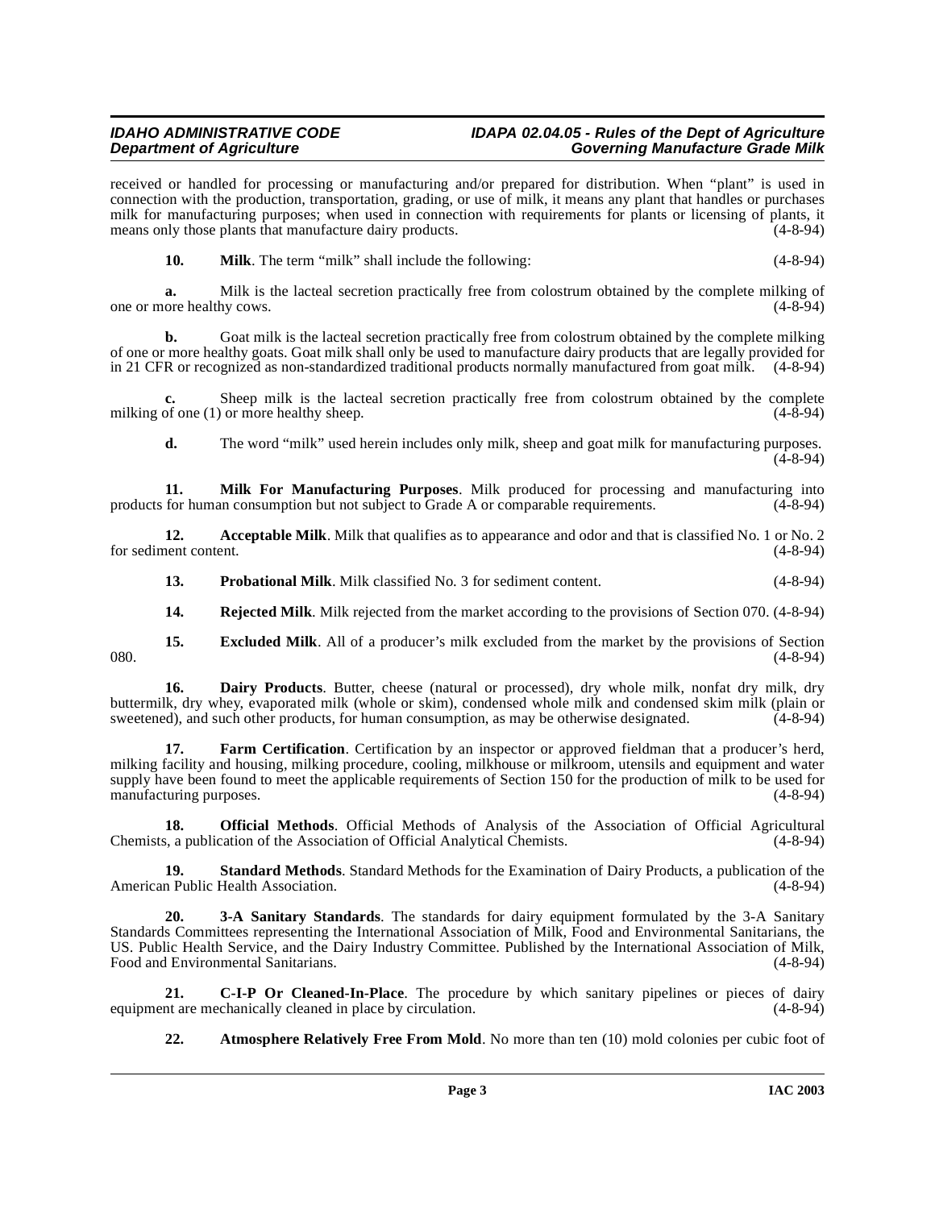#### **IDAHO ADMINISTRATIVE CODE IDAPA 02.04.05 - Rules of the Dept of Agriculture Governing Manufacture Grade Milk**

received or handled for processing or manufacturing and/or prepared for distribution. When "plant" is used in connection with the production, transportation, grading, or use of milk, it means any plant that handles or purchases milk for manufacturing purposes; when used in connection with requirements for plants or licensing of plants, it<br>means only those plants that manufacture dairy products. means only those plants that manufacture dairy products.

<span id="page-2-6"></span>**10. Milk**. The term "milk" shall include the following: (4-8-94)

**a.** Milk is the lacteal secretion practically free from colostrum obtained by the complete milking of ore healthy cows. (4-8-94) one or more healthy cows.

**b.** [Goat milk is the lacteal secretion practically free from colostrum obtained by the complete milking](http://www.access.gpo.gov/cgi-bin/cfrassemble.cgi?title=200021) of one or more healthy goats. Goat milk shall only be used to manufacture dairy products that are legally provided for [in 21 CFR or recognized as non-standardized traditional products normally manufactured from goat milk. \(4-8-94\)](http://www.access.gpo.gov/cgi-bin/cfrassemble.cgi?title=200021)

**c.** Sheep milk is the lacteal secretion practically free from colostrum obtained by the complete of one (1) or more healthy sheep. (4-8-94) milking of one  $(1)$  or more healthy sheep.

<span id="page-2-5"></span>**d.** The word "milk" used herein includes only milk, sheep and goat milk for manufacturing purposes. (4-8-94)

**11. Milk For Manufacturing Purposes**. Milk produced for processing and manufacturing into for human consumption but not subject to Grade A or comparable requirements. (4-8-94) products for human consumption but not subject to Grade A or comparable requirements.

**12.** Acceptable Milk. Milk that qualifies as to appearance and odor and that is classified No. 1 or No. 2 for sediment content. (4-8-94)

<span id="page-2-8"></span><span id="page-2-1"></span>**13. Probational Milk**. Milk classified No. 3 for sediment content. (4-8-94)

<span id="page-2-9"></span><span id="page-2-4"></span>**14. Rejected Milk**. Milk rejected from the market according to the provisions of Section 070. (4-8-94)

**15. Excluded Milk**. All of a producer's milk excluded from the market by the provisions of Section (4-8-94)  $080.$  (4-8-94)

16. Dairy Products. Butter, cheese (natural or processed), dry whole milk, nonfat dry milk, dry buttermilk, dry whey, evaporated milk (whole or skim), condensed whole milk and condensed skim milk (plain or sweetened), and such other products, for human consumption, as may be otherwise designated. (4-8-94) sweetened), and such other products, for human consumption, as may be otherwise designated.

**17. Farm Certification**. Certification by an inspector or approved fieldman that a producer's herd, milking facility and housing, milking procedure, cooling, milkhouse or milkroom, utensils and equipment and water supply have been found to meet the applicable requirements of Section 150 for the production of milk to be used for manufacturing purposes. (4-8-94) manufacturing purposes.

<span id="page-2-7"></span>**18. Official Methods**. Official Methods of Analysis of the Association of Official Agricultural Chemists, a publication of the Association of Official Analytical Chemists. (4-8-94)

<span id="page-2-10"></span>**19. Standard Methods**. Standard Methods for the Examination of Dairy Products, a publication of the American Public Health Association. (4-8-94)

<span id="page-2-0"></span>**20. 3-A Sanitary Standards**. The standards for dairy equipment formulated by the 3-A Sanitary Standards Committees representing the International Association of Milk, Food and Environmental Sanitarians, the US. Public Health Service, and the Dairy Industry Committee. Published by the International Association of Milk, Food and Environmental Sanitarians. (4-8-94)

**21. C-I-P Or Cleaned-In-Place**. The procedure by which sanitary pipelines or pieces of dairy nt are mechanically cleaned in place by circulation. (4-8-94) equipment are mechanically cleaned in place by circulation.

<span id="page-2-3"></span><span id="page-2-2"></span>**22. Atmosphere Relatively Free From Mold**. No more than ten (10) mold colonies per cubic foot of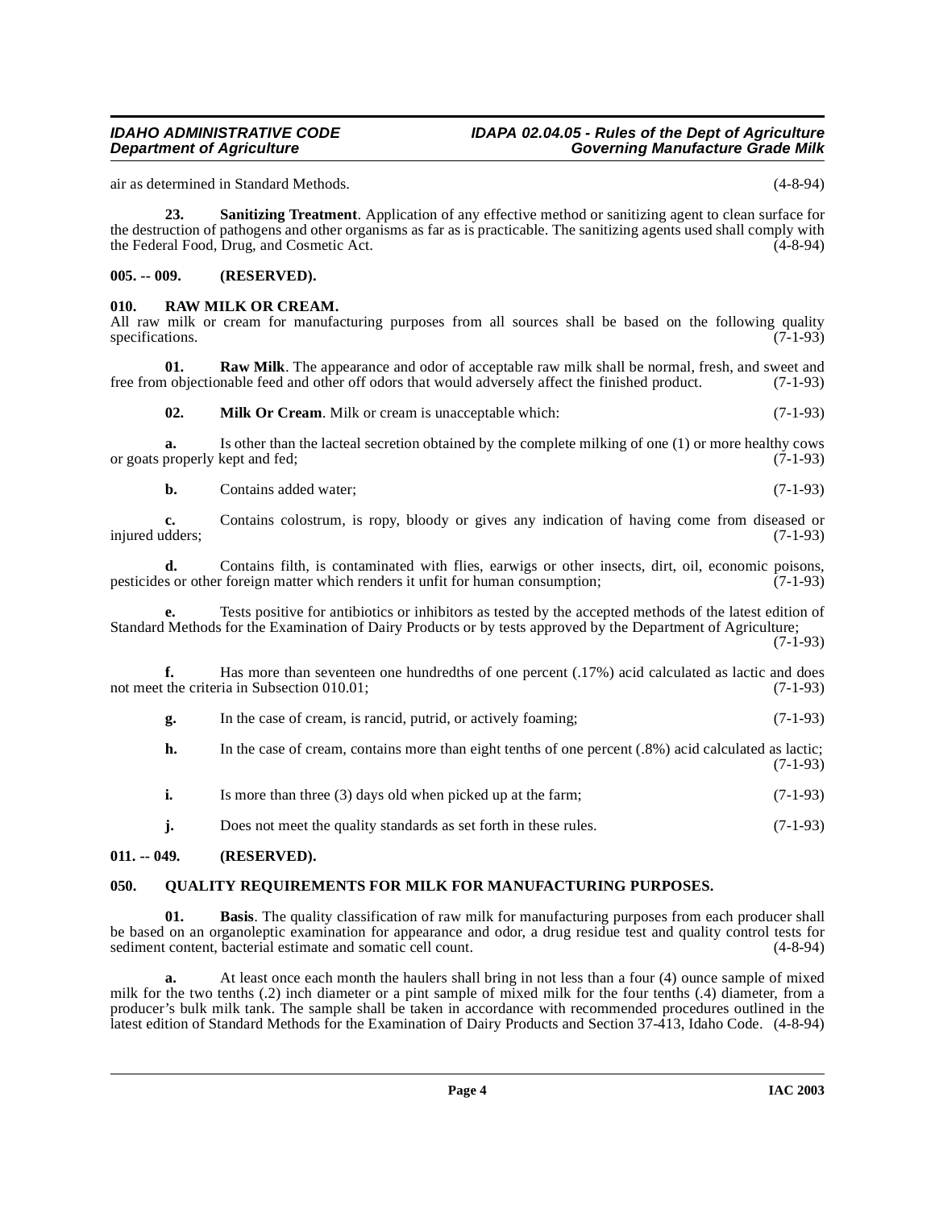air as determined in Standard Methods. (4-8-94)

<span id="page-3-9"></span>**23. Sanitizing Treatment**. Application of any effective method or sanitizing agent to clean surface for the destruction of pathogens and other organisms as far as is practicable. The sanitizing agents used shall comply with the Federal Food, Drug, and Cosmetic Act. (4-8-94)

#### <span id="page-3-0"></span>**005. -- 009. (RESERVED).**

#### <span id="page-3-7"></span><span id="page-3-1"></span>**010. RAW MILK OR CREAM.**

|  |                 |  | All raw milk or cream for manufacturing purposes from all sources shall be based on the following quality |  |  |  |  |  |            |
|--|-----------------|--|-----------------------------------------------------------------------------------------------------------|--|--|--|--|--|------------|
|  | specifications. |  |                                                                                                           |  |  |  |  |  | $(7-1-93)$ |
|  |                 |  |                                                                                                           |  |  |  |  |  |            |

**01. Raw Milk**. The appearance and odor of acceptable raw milk shall be normal, fresh, and sweet and objectionable feed and other off odors that would adversely affect the finished product. (7-1-93) free from objectionable feed and other off odors that would adversely affect the finished product.

<span id="page-3-8"></span><span id="page-3-5"></span>**02. Milk Or Cream**. Milk or cream is unacceptable which: (7-1-93)

**a.** Is other than the lacteal secretion obtained by the complete milking of one (1) or more healthy cows or goats properly kept and fed; (7-1-93)

**b.** Contains added water: (7-1-93)

**c.** Contains colostrum, is ropy, bloody or gives any indication of having come from diseased or (7-1-93) injured udders;

**d.** Contains filth, is contaminated with flies, earwigs or other insects, dirt, oil, economic poisons, so or other foreign matter which renders it unfit for human consumption; (7-1-93) pesticides or other foreign matter which renders it unfit for human consumption;

**e.** Tests positive for antibiotics or inhibitors as tested by the accepted methods of the latest edition of Standard Methods for the Examination of Dairy Products or by tests approved by the Department of Agriculture;  $(7-1-93)$ 

**f.** Has more than seventeen one hundredths of one percent (.17%) acid calculated as lactic and does not meet the criteria in Subsection 010.01; (7-1-93)

| g. |  | In the case of cream, is rancid, putrid, or actively foaming; | $(7-1-93)$ |
|----|--|---------------------------------------------------------------|------------|
|    |  |                                                               |            |

| h. | In the case of cream, contains more than eight tenths of one percent (.8%) acid calculated as lactic; | $(7-1-93)$ |
|----|-------------------------------------------------------------------------------------------------------|------------|
|    | Is more than three (3) days old when picked up at the farm;                                           | $(7-1-93)$ |

**j.** Does not meet the quality standards as set forth in these rules. (7-1-93)

## <span id="page-3-2"></span>**011. -- 049. (RESERVED).**

#### <span id="page-3-6"></span><span id="page-3-3"></span>**050. QUALITY REQUIREMENTS FOR MILK FOR MANUFACTURING PURPOSES.**

<span id="page-3-4"></span>**01. Basis**. The quality classification of raw milk for manufacturing purposes from each producer shall be based on an organoleptic examination for appearance and odor, a drug residue test and quality control tests for sediment content, bacterial estimate and somatic cell count. (4-8-94) sediment content, bacterial estimate and somatic cell count.

**a.** At least once each month the haulers shall bring in not less than a four (4) ounce sample of mixed milk for the two tenths (.2) inch diameter or a pint sample of mixed milk for the four tenths (.4) diameter, from a producer's bulk milk tank. The sample shall be taken in accordance with recommended procedures outlined in the latest edition of Standard Methods for the Examination of Dairy Products and Section 37-413, Idaho Code. (4-8-94)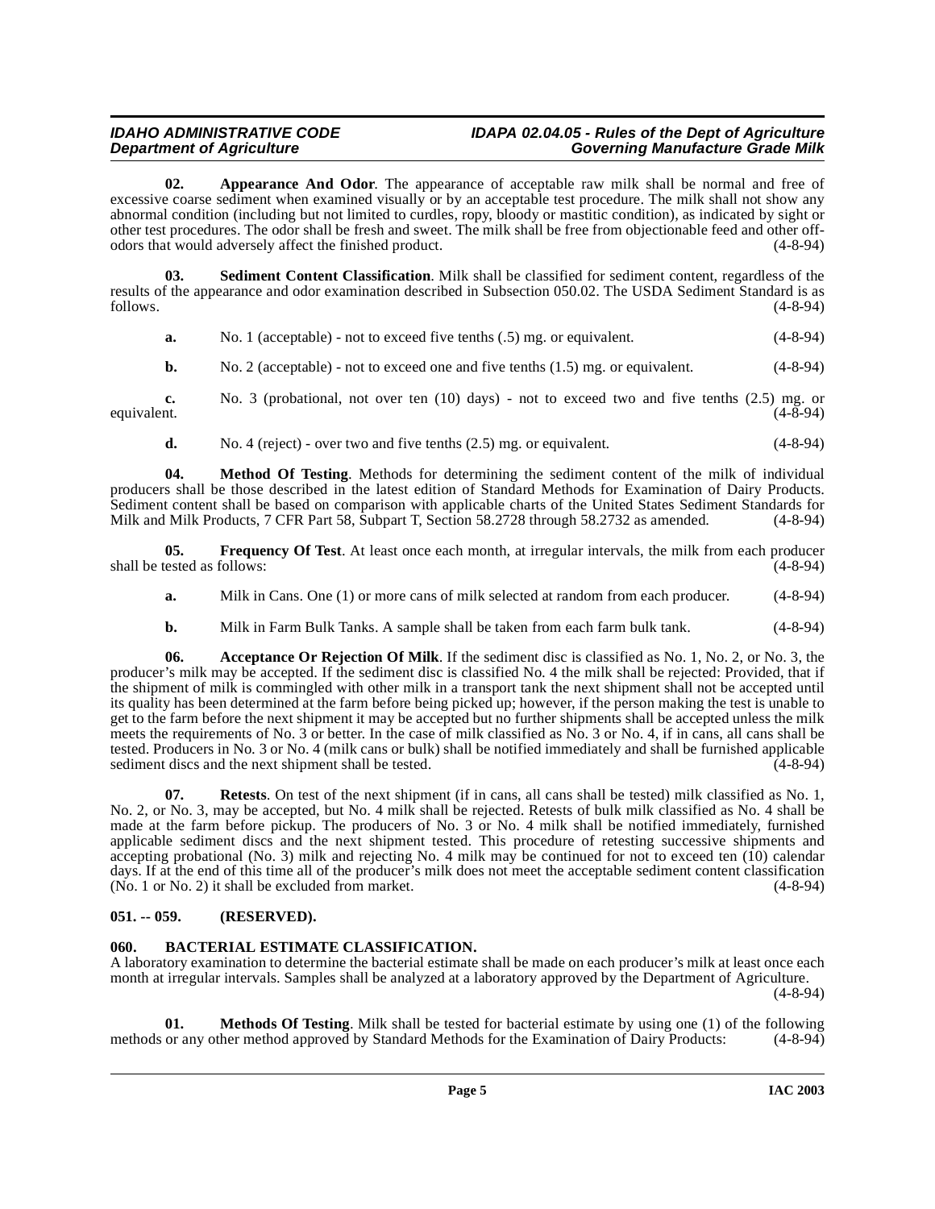### **IDAHO ADMINISTRATIVE CODE IDAPA 02.04.05 - Rules of the Dept of Agriculture Governing Manufacture Grade Milk**

<span id="page-4-3"></span>**02. Appearance And Odor**. The appearance of acceptable raw milk shall be normal and free of excessive coarse sediment when examined visually or by an acceptable test procedure. The milk shall not show any abnormal condition (including but not limited to curdles, ropy, bloody or mastitic condition), as indicated by sight or other test procedures. The odor shall be fresh and sweet. The milk shall be free from objectionable feed and other offodors that would adversely affect the finished product. (4-8-94)

**03. Sediment Content Classification**. Milk shall be classified for sediment content, regardless of the results of the appearance and odor examination described in Subsection 050.02. The USDA Sediment Standard is as follows. (4-8-94)  $f_{\text{0}}$  follows.  $(4-8-94)$ 

<span id="page-4-9"></span>

| a. | No. 1 (acceptable) - not to exceed five tenths $(.5)$ mg. or equivalent. | $(4-8-94)$ |
|----|--------------------------------------------------------------------------|------------|
|----|--------------------------------------------------------------------------|------------|

**b.** No. 2 (acceptable) - not to exceed one and five tenths (1.5) mg. or equivalent. (4-8-94)

**c.** No. 3 (probational, not over ten (10) days) - not to exceed two and five tenths (2.5) mg. or equivalent. (4-8-94) equivalent.  $(4-8-94)$ 

<span id="page-4-6"></span>**d.** No. 4 (reject) - over two and five tenths  $(2.5)$  mg. or equivalent.  $(4-8-94)$ 

**04. Method Of Testing**[. Methods for determining the sediment content of the milk of individual](http://www.access.gpo.gov/nara/cfr/waisidx_01/7cfrv3_01.html) producers shall be those described in the latest edition of Standard Methods for Examination of Dairy Products. [Sediment content shall be based on comparison with applicable charts of the United States Sediment Standards for](http://www.access.gpo.gov/nara/cfr/waisidx_01/7cfrv3_01.html) Milk and Milk Products, 7 CFR Part 58, Subpart T, Section 58.2728 through 58.2732 as amended. (4-8-94) Milk and Milk Products, 7 CFR Part 58, Subpart T, Section 58.2728 through 58.2732 as amended.

**05. Frequency Of Test**. At least once each month, at irregular intervals, the milk from each producer tested as follows: (4-8-94) shall be tested as follows:

- <span id="page-4-5"></span>**a.** Milk in Cans. One (1) or more cans of milk selected at random from each producer. (4-8-94)
- <span id="page-4-2"></span>**b.** Milk in Farm Bulk Tanks. A sample shall be taken from each farm bulk tank. (4-8-94)

**06. Acceptance Or Rejection Of Milk**. If the sediment disc is classified as No. 1, No. 2, or No. 3, the producer's milk may be accepted. If the sediment disc is classified No. 4 the milk shall be rejected: Provided, that if the shipment of milk is commingled with other milk in a transport tank the next shipment shall not be accepted until its quality has been determined at the farm before being picked up; however, if the person making the test is unable to get to the farm before the next shipment it may be accepted but no further shipments shall be accepted unless the milk meets the requirements of No. 3 or better. In the case of milk classified as No. 3 or No. 4, if in cans, all cans shall be tested. Producers in No. 3 or No. 4 (milk cans or bulk) shall be notified immediately and shall be furnished applicable sediment discs and the next shipment shall be tested. (4-8-94)

<span id="page-4-8"></span>**07. Retests**. On test of the next shipment (if in cans, all cans shall be tested) milk classified as No. 1, No. 2, or No. 3, may be accepted, but No. 4 milk shall be rejected. Retests of bulk milk classified as No. 4 shall be made at the farm before pickup. The producers of No. 3 or No. 4 milk shall be notified immediately, furnished applicable sediment discs and the next shipment tested. This procedure of retesting successive shipments and accepting probational (No. 3) milk and rejecting No. 4 milk may be continued for not to exceed ten (10) calendar days. If at the end of this time all of the producer's milk does not meet the acceptable sediment content classification (No. 1 or No. 2) it shall be excluded from market.  $(No. 1 or No. 2)$  it shall be excluded from market.

#### <span id="page-4-0"></span>**051. -- 059. (RESERVED).**

#### <span id="page-4-4"></span><span id="page-4-1"></span>**060. BACTERIAL ESTIMATE CLASSIFICATION.**

A laboratory examination to determine the bacterial estimate shall be made on each producer's milk at least once each month at irregular intervals. Samples shall be analyzed at a laboratory approved by the Department of Agriculture. (4-8-94)

<span id="page-4-7"></span>**01. Methods Of Testing**. Milk shall be tested for bacterial estimate by using one (1) of the following or any other method approved by Standard Methods for the Examination of Dairy Products: (4-8-94) methods or any other method approved by Standard Methods for the Examination of Dairy Products: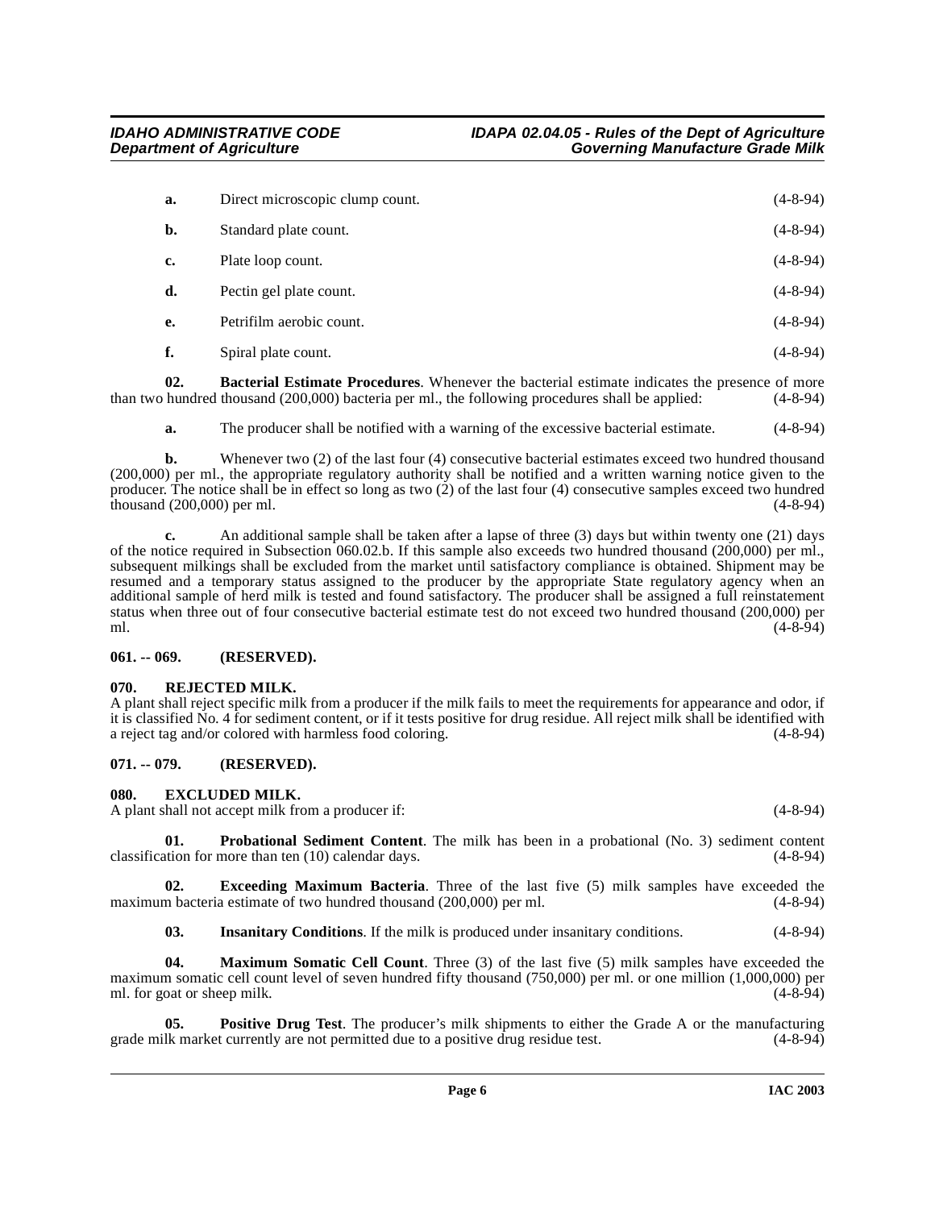| a. | Direct microscopic clump count. | $(4-8-94)$     |
|----|---------------------------------|----------------|
| b. | Standard plate count.           | $(4-8-94)$     |
| c. | Plate loop count.               | $(4-8-94)$     |
| d. | Pectin gel plate count.         | $(4-8-94)$     |
| e. | Petrifilm aerobic count.        | $(4-8-94)$     |
| f. | Spiral plate count.             | $(4 - 8 - 94)$ |

**02. Bacterial Estimate Procedures**. Whenever the bacterial estimate indicates the presence of more than two hundred thousand (200,000) bacteria per ml., the following procedures shall be applied: (4-8-94)

<span id="page-5-4"></span>**a.** The producer shall be notified with a warning of the excessive bacterial estimate. (4-8-94)

**b.** Whenever two (2) of the last four (4) consecutive bacterial estimates exceed two hundred thousand (200,000) per ml., the appropriate regulatory authority shall be notified and a written warning notice given to the producer. The notice shall be in effect so long as two  $(2)$  of the last four  $(4)$  consecutive samples exceed two hundred thousand  $(200.000)$  per ml.  $(4-8-94)$ thousand  $(200,000)$  per ml.

**c.** An additional sample shall be taken after a lapse of three (3) days but within twenty one (21) days of the notice required in Subsection 060.02.b. If this sample also exceeds two hundred thousand (200,000) per ml., subsequent milkings shall be excluded from the market until satisfactory compliance is obtained. Shipment may be resumed and a temporary status assigned to the producer by the appropriate State regulatory agency when an additional sample of herd milk is tested and found satisfactory. The producer shall be assigned a full reinstatement status when three out of four consecutive bacterial estimate test do not exceed two hundred thousand (200,000) per ml. (4-8-94)

#### <span id="page-5-0"></span>**061. -- 069. (RESERVED).**

#### <span id="page-5-1"></span>**070. REJECTED MILK.**

A plant shall reject specific milk from a producer if the milk fails to meet the requirements for appearance and odor, if it is classified No. 4 for sediment content, or if it tests positive for drug residue. All reject milk shall be identified with a reject tag and/or colored with harmless food coloring. (4-8-94)

#### <span id="page-5-2"></span>**071. -- 079. (RESERVED).**

#### <span id="page-5-6"></span><span id="page-5-3"></span>**080. EXCLUDED MILK.**

A plant shall not accept milk from a producer if: (4-8-94)

<span id="page-5-10"></span>**01. Probational Sediment Content**. The milk has been in a probational (No. 3) sediment content tion for more than ten (10) calendar days. (4-8-94) classification for more than ten  $(10)$  calendar days.

**02. Exceeding Maximum Bacteria**. Three of the last five (5) milk samples have exceeded the maximum bacteria estimate of two hundred thousand (200,000) per ml. (4-8-94)

<span id="page-5-9"></span><span id="page-5-8"></span><span id="page-5-7"></span><span id="page-5-5"></span>**03. Insanitary Conditions**. If the milk is produced under insanitary conditions. (4-8-94)

**04. Maximum Somatic Cell Count**. Three (3) of the last five (5) milk samples have exceeded the maximum somatic cell count level of seven hundred fifty thousand (750,000) per ml. or one million (1,000,000) per ml. for goat or sheep milk. (4-8-94)

**05. Positive Drug Test**. The producer's milk shipments to either the Grade A or the manufacturing lk market currently are not permitted due to a positive drug residue test. (4-8-94) grade milk market currently are not permitted due to a positive drug residue test.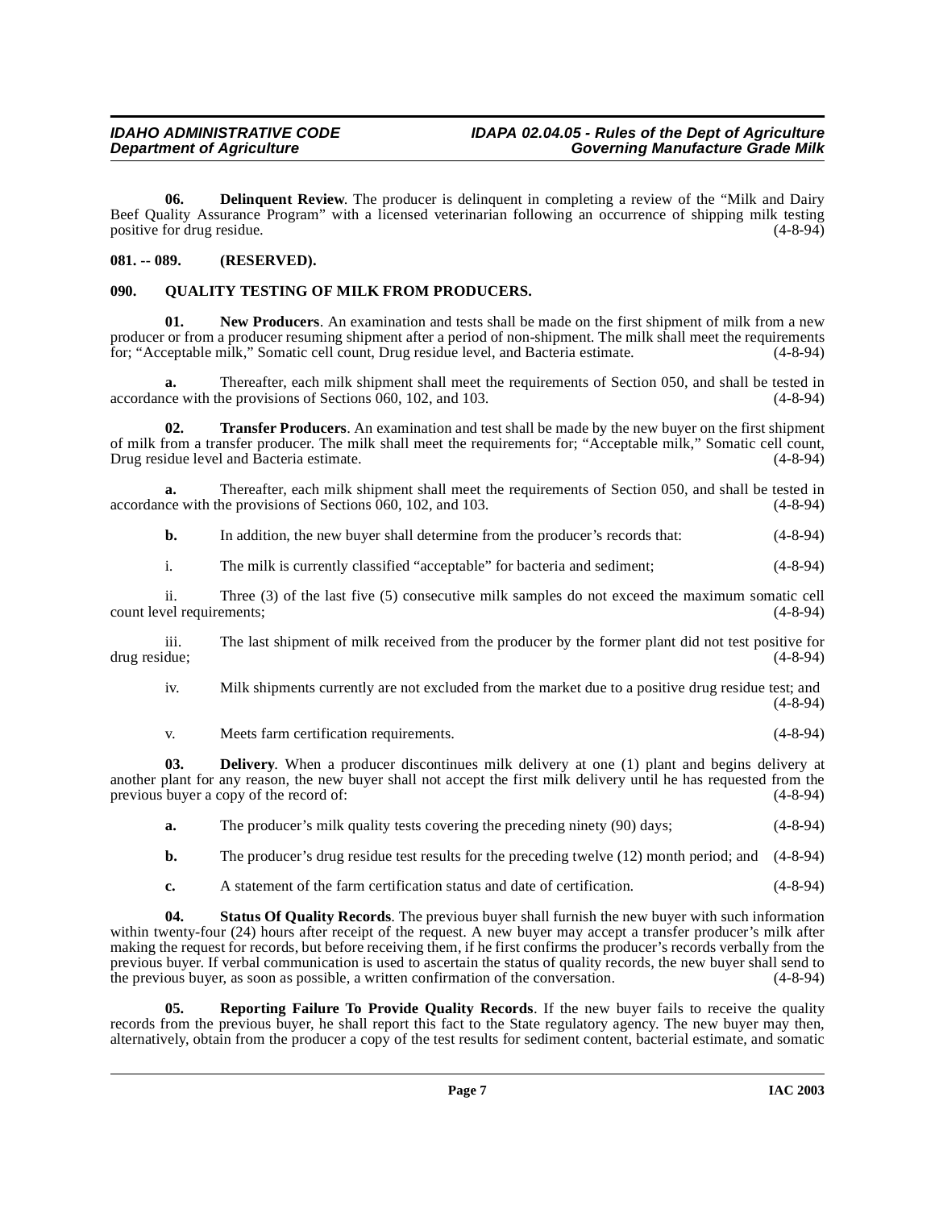<span id="page-6-2"></span>**06.** Delinquent Review. The producer is delinquent in completing a review of the "Milk and Dairy" Beef Quality Assurance Program" with a licensed veterinarian following an occurrence of shipping milk testing positive for drug residue. (4-8-94)

#### <span id="page-6-0"></span>**081. -- 089. (RESERVED).**

### <span id="page-6-5"></span><span id="page-6-1"></span>**090. QUALITY TESTING OF MILK FROM PRODUCERS.**

<span id="page-6-4"></span>**01. New Producers**. An examination and tests shall be made on the first shipment of milk from a new producer or from a producer resuming shipment after a period of non-shipment. The milk shall meet the requirements for: "Acceptable milk," Somatic cell count, Drug residue level, and Bacteria estimate. (4-8-94) for; "Acceptable milk," Somatic cell count, Drug residue level, and Bacteria estimate.

**a.** Thereafter, each milk shipment shall meet the requirements of Section 050, and shall be tested in accordance with the provisions of Sections 060, 102, and 103. (4-8-94)

<span id="page-6-8"></span>**02. Transfer Producers**. An examination and test shall be made by the new buyer on the first shipment of milk from a transfer producer. The milk shall meet the requirements for; "Acceptable milk," Somatic cell count, Drug residue level and Bacteria estimate. (4-8-94)

**a.** Thereafter, each milk shipment shall meet the requirements of Section 050, and shall be tested in ce with the provisions of Sections 060, 102, and 103. (4-8-94) accordance with the provisions of Sections  $060$ , 102, and 103.

**b.** In addition, the new buyer shall determine from the producer's records that:  $(4-8-94)$ 

i. The milk is currently classified "acceptable" for bacteria and sediment; (4-8-94)

ii. Three (3) of the last five (5) consecutive milk samples do not exceed the maximum somatic cell count level requirements;

iii. The last shipment of milk received from the producer by the former plant did not test positive for drug residue;

iv. Milk shipments currently are not excluded from the market due to a positive drug residue test; and (4-8-94)

<span id="page-6-3"></span>v. Meets farm certification requirements. (4-8-94)

**03. Delivery**. When a producer discontinues milk delivery at one (1) plant and begins delivery at another plant for any reason, the new buyer shall not accept the first milk delivery until he has requested from the previous buyer a copy of the record of:  $(4-8-94)$ previous buyer a copy of the record of:

**a.** The producer's milk quality tests covering the preceding ninety (90) days; (4-8-94)

**b.** The producer's drug residue test results for the preceding twelve (12) month period; and (4-8-94)

<span id="page-6-7"></span>**c.** A statement of the farm certification status and date of certification. (4-8-94)

**04. Status Of Quality Records**. The previous buyer shall furnish the new buyer with such information within twenty-four (24) hours after receipt of the request. A new buyer may accept a transfer producer's milk after making the request for records, but before receiving them, if he first confirms the producer's records verbally from the previous buyer. If verbal communication is used to ascertain the status of quality records, the new buyer shall send to the previous buyer, as soon as possible, a written confirmation of the conversation. (4-8-94)

<span id="page-6-6"></span>**05.** Reporting Failure To Provide Quality Records. If the new buyer fails to receive the quality records from the previous buyer, he shall report this fact to the State regulatory agency. The new buyer may then, alternatively, obtain from the producer a copy of the test results for sediment content, bacterial estimate, and somatic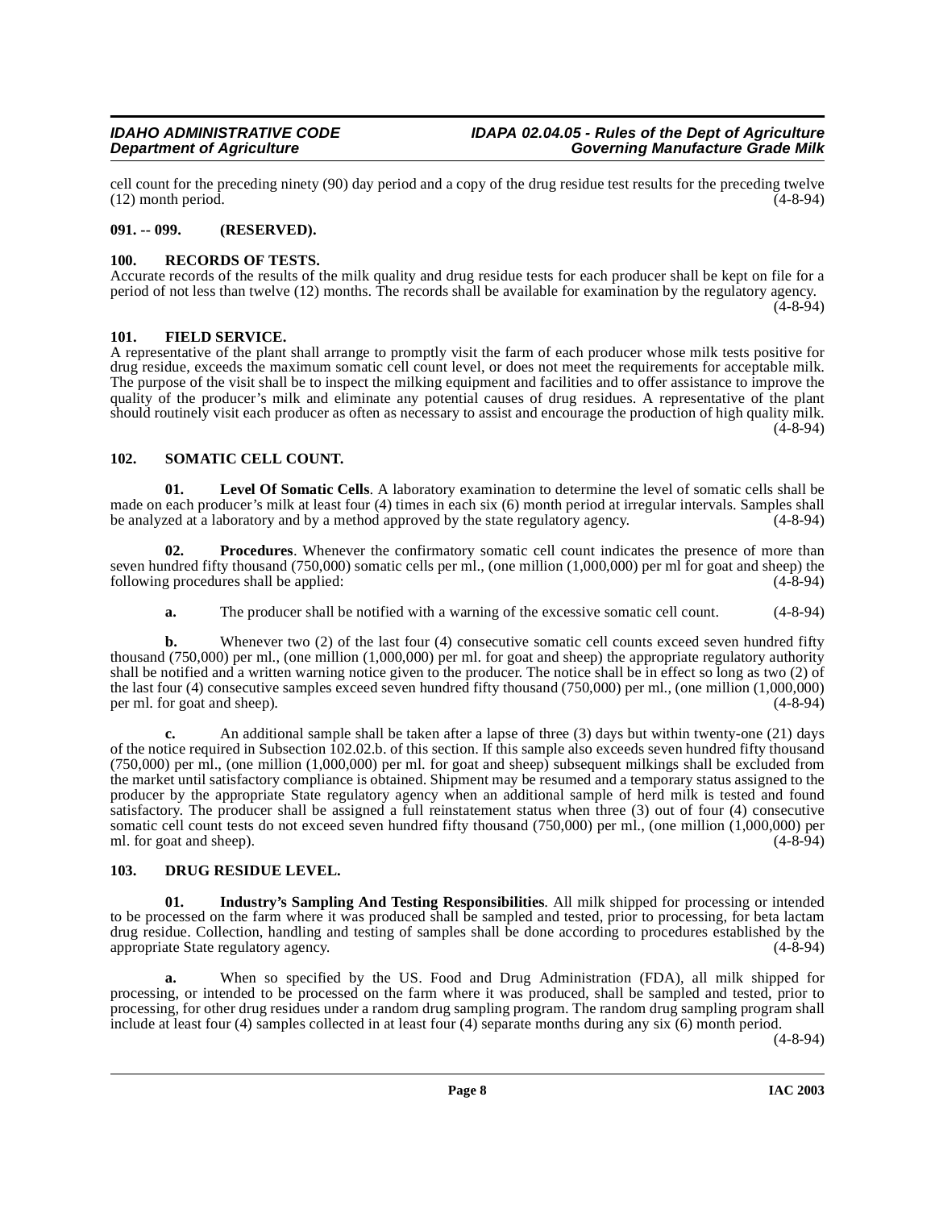cell count for the preceding ninety (90) day period and a copy of the drug residue test results for the preceding twelve (12) month period. (4-8-94)  $(12)$  month period.

#### <span id="page-7-0"></span>**091. -- 099. (RESERVED).**

#### <span id="page-7-10"></span><span id="page-7-1"></span>**100. RECORDS OF TESTS.**

Accurate records of the results of the milk quality and drug residue tests for each producer shall be kept on file for a period of not less than twelve (12) months. The records shall be available for examination by the regulatory agency.  $(4 - 8 - 94)$ 

#### <span id="page-7-6"></span><span id="page-7-2"></span>**101. FIELD SERVICE.**

A representative of the plant shall arrange to promptly visit the farm of each producer whose milk tests positive for drug residue, exceeds the maximum somatic cell count level, or does not meet the requirements for acceptable milk. The purpose of the visit shall be to inspect the milking equipment and facilities and to offer assistance to improve the quality of the producer's milk and eliminate any potential causes of drug residues. A representative of the plant should routinely visit each producer as often as necessary to assist and encourage the production of high quality milk. (4-8-94)

#### <span id="page-7-11"></span><span id="page-7-3"></span>**102. SOMATIC CELL COUNT.**

<span id="page-7-8"></span>**01. Level Of Somatic Cells**. A laboratory examination to determine the level of somatic cells shall be made on each producer's milk at least four (4) times in each six (6) month period at irregular intervals. Samples shall<br>be analyzed at a laboratory and by a method approved by the state regulatory agency. (4-8-94) be analyzed at a laboratory and by a method approved by the state regulatory agency.

**02. Procedures**. Whenever the confirmatory somatic cell count indicates the presence of more than seven hundred fifty thousand (750,000) somatic cells per ml., (one million (1,000,000) per ml for goat and sheep) the following procedures shall be applied: (4-8-94) following procedures shall be applied:

<span id="page-7-9"></span>**a.** The producer shall be notified with a warning of the excessive somatic cell count. (4-8-94)

**b.** Whenever two (2) of the last four (4) consecutive somatic cell counts exceed seven hundred fifty thousand (750,000) per ml., (one million (1,000,000) per ml. for goat and sheep) the appropriate regulatory authority shall be notified and a written warning notice given to the producer. The notice shall be in effect so long as two (2) of the last four (4) consecutive samples exceed seven hundred fifty thousand (750,000) per ml., (one million (1,000,000) per ml. for goat and sheep). (4-8-94) per ml. for goat and sheep).

**c.** An additional sample shall be taken after a lapse of three (3) days but within twenty-one (21) days of the notice required in Subsection 102.02.b. of this section. If this sample also exceeds seven hundred fifty thousand (750,000) per ml., (one million (1,000,000) per ml. for goat and sheep) subsequent milkings shall be excluded from the market until satisfactory compliance is obtained. Shipment may be resumed and a temporary status assigned to the producer by the appropriate State regulatory agency when an additional sample of herd milk is tested and found satisfactory. The producer shall be assigned a full reinstatement status when three (3) out of four (4) consecutive somatic cell count tests do not exceed seven hundred fifty thousand (750,000) per ml., (one million (1,000,000) per ml. for goat and sheep). (4-8-94)

#### <span id="page-7-5"></span><span id="page-7-4"></span>**103. DRUG RESIDUE LEVEL.**

<span id="page-7-7"></span>**01. Industry's Sampling And Testing Responsibilities**. All milk shipped for processing or intended to be processed on the farm where it was produced shall be sampled and tested, prior to processing, for beta lactam drug residue. Collection, handling and testing of samples shall be done according to procedures established by the appropriate State regulatory agency. (4-8-94) appropriate State regulatory agency.

**a.** When so specified by the US. Food and Drug Administration (FDA), all milk shipped for processing, or intended to be processed on the farm where it was produced, shall be sampled and tested, prior to processing, for other drug residues under a random drug sampling program. The random drug sampling program shall include at least four (4) samples collected in at least four (4) separate months during any six (6) month period.

(4-8-94)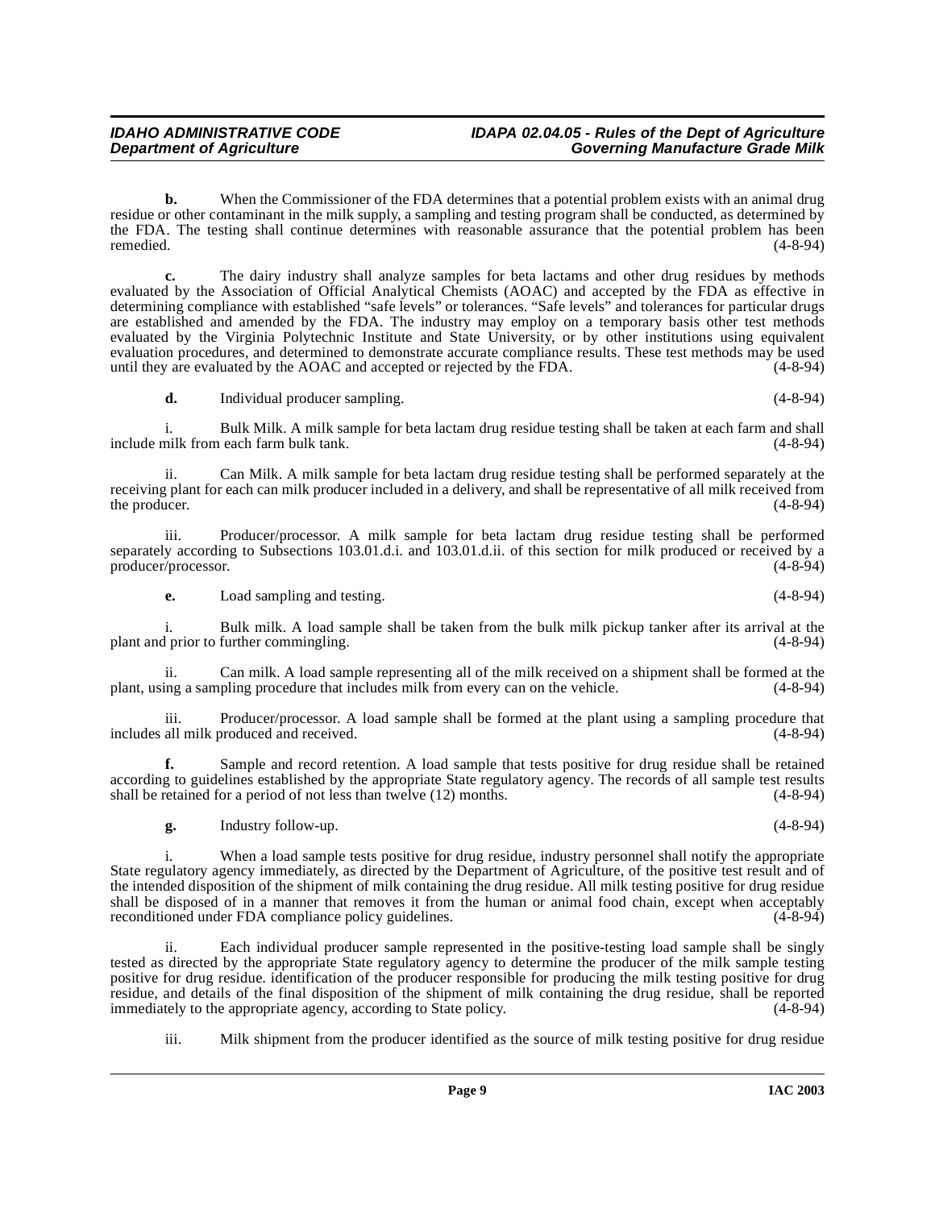**b.** When the Commissioner of the FDA determines that a potential problem exists with an animal drug residue or other contaminant in the milk supply, a sampling and testing program shall be conducted, as determined by the FDA. The testing shall continue determines with reasonable assurance that the potential problem has been remedied. (4-8-94)

**c.** The dairy industry shall analyze samples for beta lactams and other drug residues by methods evaluated by the Association of Official Analytical Chemists (AOAC) and accepted by the FDA as effective in determining compliance with established "safe levels" or tolerances. "Safe levels" and tolerances for particular drugs are established and amended by the FDA. The industry may employ on a temporary basis other test methods evaluated by the Virginia Polytechnic Institute and State University, or by other institutions using equivalent evaluation procedures, and determined to demonstrate accurate compliance results. These test methods may be used<br>until they are evaluated by the AOAC and accepted or rejected by the FDA. until they are evaluated by the AOAC and accepted or rejected by the FDA.

**d.** Individual producer sampling. (4-8-94)

i. Bulk Milk. A milk sample for beta lactam drug residue testing shall be taken at each farm and shall include milk from each farm bulk tank.

Can Milk. A milk sample for beta lactam drug residue testing shall be performed separately at the receiving plant for each can milk producer included in a delivery, and shall be representative of all milk received from<br>(4-8-94) the producer.

iii. Producer/processor. A milk sample for beta lactam drug residue testing shall be performed separately according to Subsections 103.01.d.i. and 103.01.d.ii. of this section for milk produced or received by a producer/processor. (4-8-94) producer/processor.

**e.** Load sampling and testing. (4-8-94)

i. Bulk milk. A load sample shall be taken from the bulk milk pickup tanker after its arrival at the plant and prior to further commingling.

ii. Can milk. A load sample representing all of the milk received on a shipment shall be formed at the plant, using a sampling procedure that includes milk from every can on the vehicle. (4-8-94)

iii. Producer/processor. A load sample shall be formed at the plant using a sampling procedure that includes all milk produced and received.

**f.** Sample and record retention. A load sample that tests positive for drug residue shall be retained according to guidelines established by the appropriate State regulatory agency. The records of all sample test results shall be retained for a period of not less than twelve (12) months. (4-8-94) shall be retained for a period of not less than twelve  $(12)$  months.

**g.** Industry follow-up. (4-8-94)

i. When a load sample tests positive for drug residue, industry personnel shall notify the appropriate State regulatory agency immediately, as directed by the Department of Agriculture, of the positive test result and of the intended disposition of the shipment of milk containing the drug residue. All milk testing positive for drug residue shall be disposed of in a manner that removes it from the human or animal food chain, except when acceptably reconditioned under FDA compliance policy guidelines. (4-8-94)

ii. Each individual producer sample represented in the positive-testing load sample shall be singly tested as directed by the appropriate State regulatory agency to determine the producer of the milk sample testing positive for drug residue. identification of the producer responsible for producing the milk testing positive for drug residue, and details of the final disposition of the shipment of milk containing the drug residue, shall be reported immediately to the appropriate agency, according to State policy. (4-8-94) immediately to the appropriate agency, according to State policy.

iii. Milk shipment from the producer identified as the source of milk testing positive for drug residue

**Page 9 IAC 2003**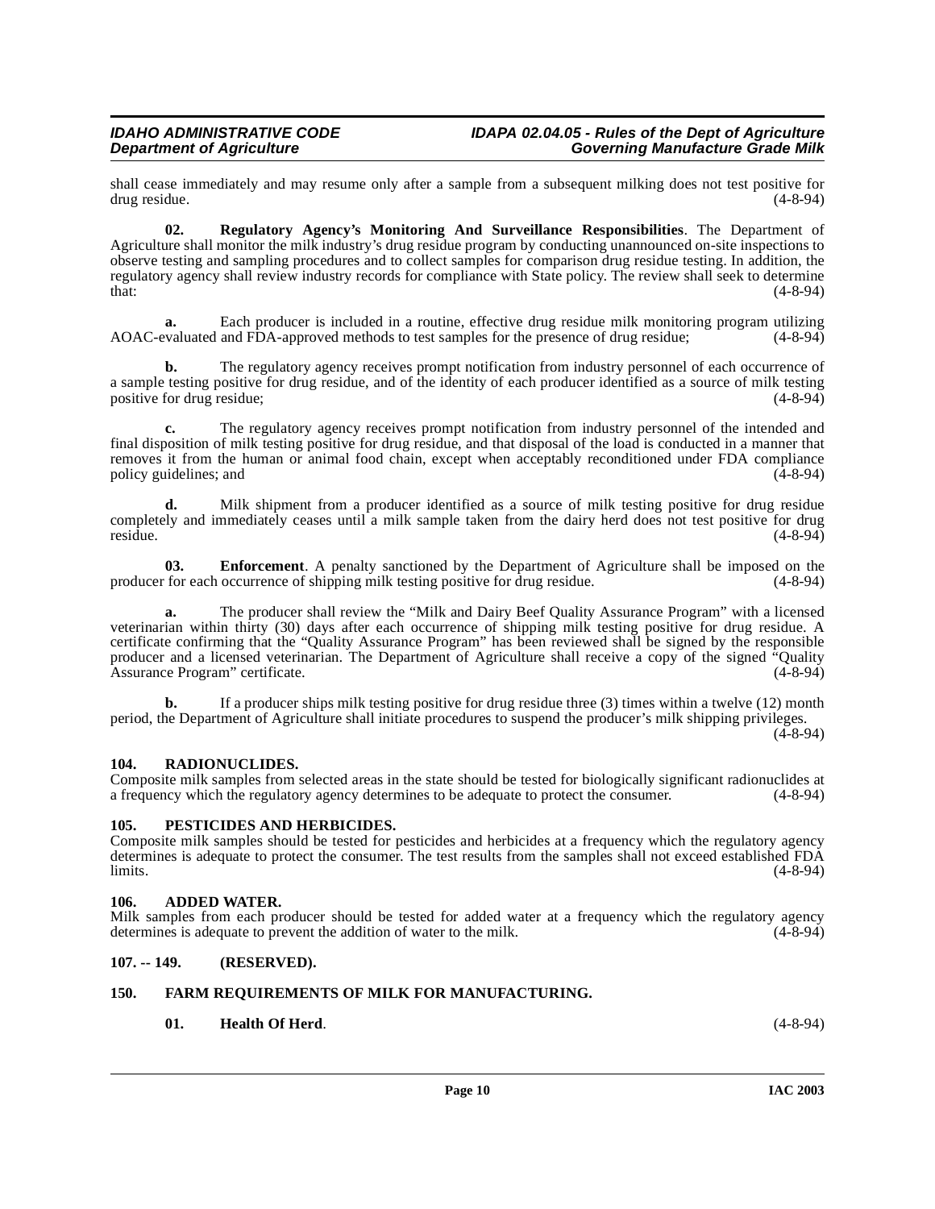shall cease immediately and may resume only after a sample from a subsequent milking does not test positive for drug residue. (4-8-94) drug residue.

<span id="page-9-11"></span>**02. Regulatory Agency's Monitoring And Surveillance Responsibilities**. The Department of Agriculture shall monitor the milk industry's drug residue program by conducting unannounced on-site inspections to observe testing and sampling procedures and to collect samples for comparison drug residue testing. In addition, the regulatory agency shall review industry records for compliance with State policy. The review shall seek to determine that:  $t$ hat:  $(4-8-94)$ 

**a.** Each producer is included in a routine, effective drug residue milk monitoring program utilizing AOAC-evaluated and FDA-approved methods to test samples for the presence of drug residue; (4-8-94)

**b.** The regulatory agency receives prompt notification from industry personnel of each occurrence of a sample testing positive for drug residue, and of the identity of each producer identified as a source of milk testing positive for drug residue; (4-8-94)

**c.** The regulatory agency receives prompt notification from industry personnel of the intended and final disposition of milk testing positive for drug residue, and that disposal of the load is conducted in a manner that removes it from the human or animal food chain, except when acceptably reconditioned under FDA compliance policy guidelines; and (4-8-94)

**d.** Milk shipment from a producer identified as a source of milk testing positive for drug residue completely and immediately ceases until a milk sample taken from the dairy herd does not test positive for drug<br>(4-8-94) residue. (4-8-94)

<span id="page-9-6"></span>**03. Enforcement**. A penalty sanctioned by the Department of Agriculture shall be imposed on the for each occurrence of shipping milk testing positive for drug residue. (4-8-94) producer for each occurrence of shipping milk testing positive for drug residue.

**a.** The producer shall review the "Milk and Dairy Beef Quality Assurance Program" with a licensed veterinarian within thirty (30) days after each occurrence of shipping milk testing positive for drug residue. A certificate confirming that the "Quality Assurance Program" has been reviewed shall be signed by the responsible producer and a licensed veterinarian. The Department of Agriculture shall receive a copy of the signed "Quality Assurance Program" certificate. (4-8-94) Assurance Program" certificate.

**b.** If a producer ships milk testing positive for drug residue three (3) times within a twelve (12) month period, the Department of Agriculture shall initiate procedures to suspend the producer's milk shipping privileges.

 $(4 - 8 - 94)$ 

#### <span id="page-9-10"></span><span id="page-9-0"></span>**104. RADIONUCLIDES.**

Composite milk samples from selected areas in the state should be tested for biologically significant radionuclides at a frequency which the regulatory agency determines to be adequate to protect the consumer. (4-8-94) a frequency which the regulatory agency determines to be adequate to protect the consumer.

#### <span id="page-9-9"></span><span id="page-9-1"></span>**105. PESTICIDES AND HERBICIDES.**

Composite milk samples should be tested for pesticides and herbicides at a frequency which the regulatory agency determines is adequate to protect the consumer. The test results from the samples shall not exceed established FDA limits.  $\lambda$  limits. (4-8-94)

#### <span id="page-9-5"></span><span id="page-9-2"></span>**106. ADDED WATER.**

Milk samples from each producer should be tested for added water at a frequency which the regulatory agency determines is adequate to prevent the addition of water to the milk. (4-8-94) determines is adequate to prevent the addition of water to the milk.

#### <span id="page-9-3"></span>**107. -- 149. (RESERVED).**

#### <span id="page-9-4"></span>**150. FARM REQUIREMENTS OF MILK FOR MANUFACTURING.**

### <span id="page-9-8"></span><span id="page-9-7"></span>**01. Health Of Herd**. (4-8-94)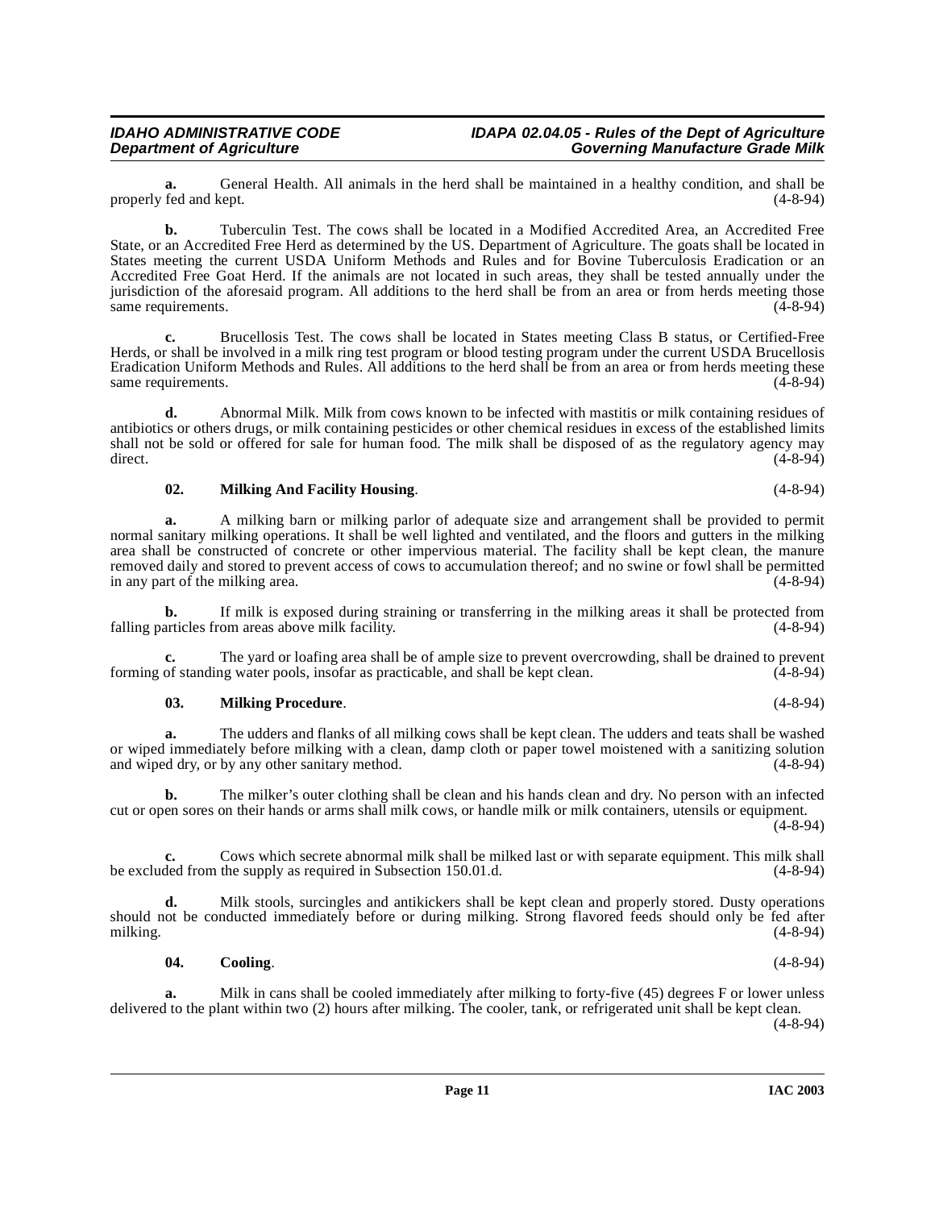**a.** General Health. All animals in the herd shall be maintained in a healthy condition, and shall be fed and kept. (4-8-94) properly fed and kept.

**b.** Tuberculin Test. The cows shall be located in a Modified Accredited Area, an Accredited Free State, or an Accredited Free Herd as determined by the US. Department of Agriculture. The goats shall be located in States meeting the current USDA Uniform Methods and Rules and for Bovine Tuberculosis Eradication or an Accredited Free Goat Herd. If the animals are not located in such areas, they shall be tested annually under the jurisdiction of the aforesaid program. All additions to the herd shall be from an area or from herds meeting those<br>same requirements. (4-8-94) same requirements.

**c.** Brucellosis Test. The cows shall be located in States meeting Class B status, or Certified-Free Herds, or shall be involved in a milk ring test program or blood testing program under the current USDA Brucellosis Eradication Uniform Methods and Rules. All additions to the herd shall be from an area or from herds meeting these same requirements. (4-8-94)

**d.** Abnormal Milk. Milk from cows known to be infected with mastitis or milk containing residues of antibiotics or others drugs, or milk containing pesticides or other chemical residues in excess of the established limits shall not be sold or offered for sale for human food. The milk shall be disposed of as the regulatory agency may  $\frac{4-8-94}{2}$ 

#### <span id="page-10-1"></span>**02. Milking And Facility Housing**. (4-8-94)

**a.** A milking barn or milking parlor of adequate size and arrangement shall be provided to permit normal sanitary milking operations. It shall be well lighted and ventilated, and the floors and gutters in the milking area shall be constructed of concrete or other impervious material. The facility shall be kept clean, the manure removed daily and stored to prevent access of cows to accumulation thereof; and no swine or fowl shall be permitted<br>in any part of the milking area. (4-8-94) in any part of the milking area.

**b.** If milk is exposed during straining or transferring in the milking areas it shall be protected from falling particles from areas above milk facility. (4-8-94)

**c.** The yard or loafing area shall be of ample size to prevent overcrowding, shall be drained to prevent of standing water pools, insofar as practicable, and shall be kept clean. (4-8-94) forming of standing water pools, insofar as practicable, and shall be kept clean.

#### <span id="page-10-2"></span>**03. Milking Procedure**. (4-8-94)

**a.** The udders and flanks of all milking cows shall be kept clean. The udders and teats shall be washed or wiped immediately before milking with a clean, damp cloth or paper towel moistened with a sanitizing solution and wiped dry, or by any other sanitary method. (4-8-94)

**b.** The milker's outer clothing shall be clean and his hands clean and dry. No person with an infected cut or open sores on their hands or arms shall milk cows, or handle milk or milk containers, utensils or equipment. (4-8-94)

**c.** Cows which secrete abnormal milk shall be milked last or with separate equipment. This milk shall ded from the supply as required in Subsection 150.01.d. be excluded from the supply as required in Subsection 150.01.d.

**d.** Milk stools, surcingles and antikickers shall be kept clean and properly stored. Dusty operations should not be conducted immediately before or during milking. Strong flavored feeds should only be fed after milking. (4-8-94) milking. (4-8-94)

#### <span id="page-10-0"></span>**04. Cooling**. (4-8-94)

**a.** Milk in cans shall be cooled immediately after milking to forty-five (45) degrees F or lower unless delivered to the plant within two (2) hours after milking. The cooler, tank, or refrigerated unit shall be kept clean. (4-8-94)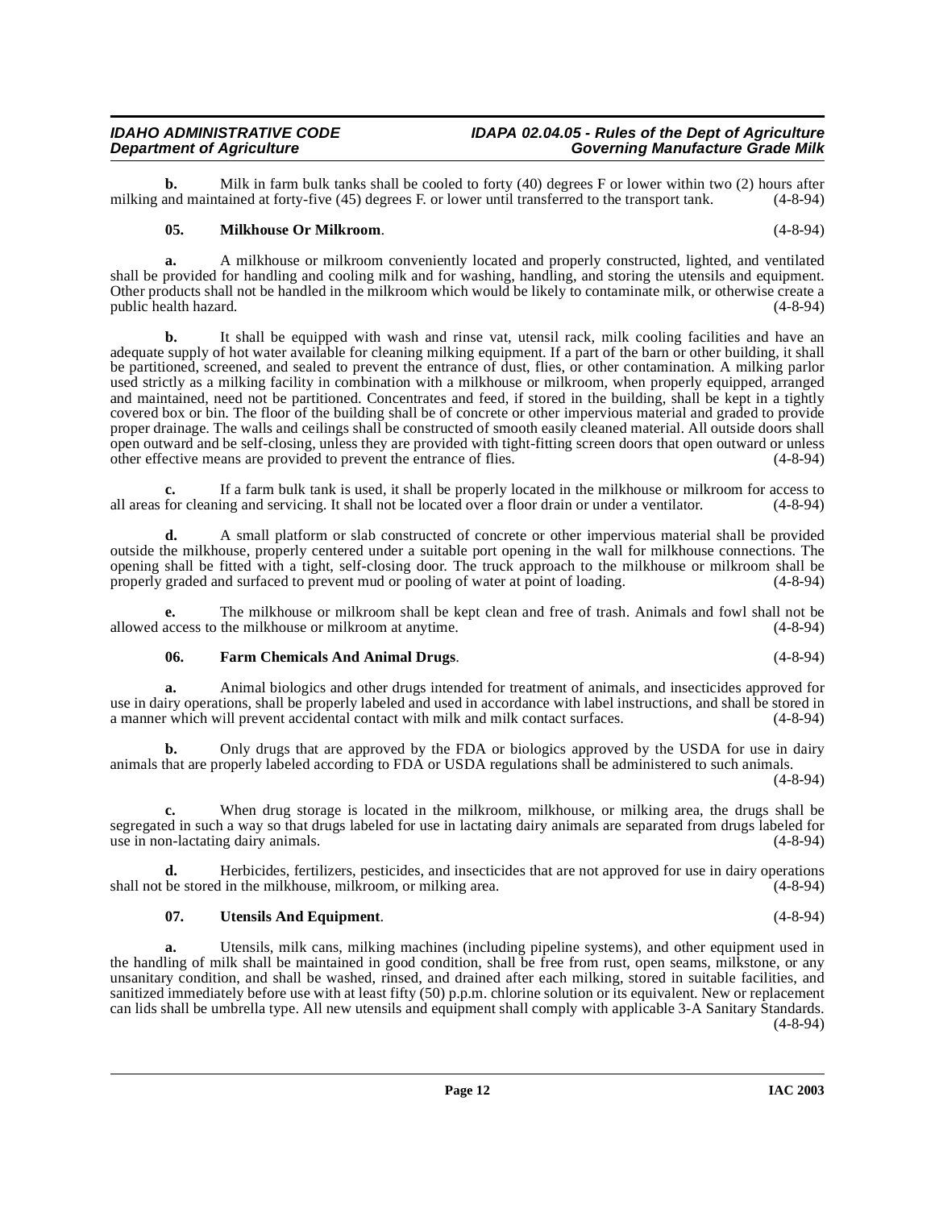**b.** Milk in farm bulk tanks shall be cooled to forty (40) degrees F or lower within two (2) hours after and maintained at forty-five (45) degrees F or lower until transferred to the transport tank. (4-8-94) milking and maintained at forty-five  $(45)$  degrees F. or lower until transferred to the transport tank.

#### <span id="page-11-1"></span>**05. Milkhouse Or Milkroom**. (4-8-94)

**a.** A milkhouse or milkroom conveniently located and properly constructed, lighted, and ventilated shall be provided for handling and cooling milk and for washing, handling, and storing the utensils and equipment. Other products shall not be handled in the milkroom which would be likely to contaminate milk, or otherwise create a public health hazard.

**b.** It shall be equipped with wash and rinse vat, utensil rack, milk cooling facilities and have an adequate supply of hot water available for cleaning milking equipment. If a part of the barn or other building, it shall be partitioned, screened, and sealed to prevent the entrance of dust, flies, or other contamination. A milking parlor used strictly as a milking facility in combination with a milkhouse or milkroom, when properly equipped, arranged and maintained, need not be partitioned. Concentrates and feed, if stored in the building, shall be kept in a tightly covered box or bin. The floor of the building shall be of concrete or other impervious material and graded to provide proper drainage. The walls and ceilings shall be constructed of smooth easily cleaned material. All outside doors shall open outward and be self-closing, unless they are provided with tight-fitting screen doors that open outward or unless other effective means are provided to prevent the entrance of flies. (4-8-94)

**c.** If a farm bulk tank is used, it shall be properly located in the milkhouse or milkroom for access to for cleaning and servicing. It shall not be located over a floor drain or under a ventilator. (4-8-94) all areas for cleaning and servicing. It shall not be located over a floor drain or under a ventilator.

**d.** A small platform or slab constructed of concrete or other impervious material shall be provided outside the milkhouse, properly centered under a suitable port opening in the wall for milkhouse connections. The opening shall be fitted with a tight, self-closing door. The truck approach to the milkhouse or milkroom shall be properly graded and surfaced to prevent mud or pooling of water at point of loading. (4-8-94) properly graded and surfaced to prevent mud or pooling of water at point of loading.

The milkhouse or milkroom shall be kept clean and free of trash. Animals and fowl shall not be the milkhouse or milkroom at anytime. (4-8-94) allowed access to the milkhouse or milkroom at anytime.

#### <span id="page-11-0"></span>**06. Farm Chemicals And Animal Drugs**. (4-8-94)

**a.** Animal biologics and other drugs intended for treatment of animals, and insecticides approved for use in dairy operations, shall be properly labeled and used in accordance with label instructions, and shall be stored in a manner which will prevent accidental contact with milk and milk contact surfaces.

**b.** Only drugs that are approved by the FDA or biologics approved by the USDA for use in dairy animals that are properly labeled according to FDA or USDA regulations shall be administered to such animals. (4-8-94)

**c.** When drug storage is located in the milkroom, milkhouse, or milking area, the drugs shall be segregated in such a way so that drugs labeled for use in lactating dairy animals are separated from drugs labeled for use in non-lactating dairy animals. (4-8-94)

**d.** Herbicides, fertilizers, pesticides, and insecticides that are not approved for use in dairy operations shall not be stored in the milkhouse, milkroom, or milking area. (4-8-94)

#### <span id="page-11-2"></span>**07. Utensils And Equipment**. (4-8-94)

**a.** Utensils, milk cans, milking machines (including pipeline systems), and other equipment used in the handling of milk shall be maintained in good condition, shall be free from rust, open seams, milkstone, or any unsanitary condition, and shall be washed, rinsed, and drained after each milking, stored in suitable facilities, and sanitized immediately before use with at least fifty (50) p.p.m. chlorine solution or its equivalent. New or replacement can lids shall be umbrella type. All new utensils and equipment shall comply with applicable 3-A Sanitary Standards. (4-8-94)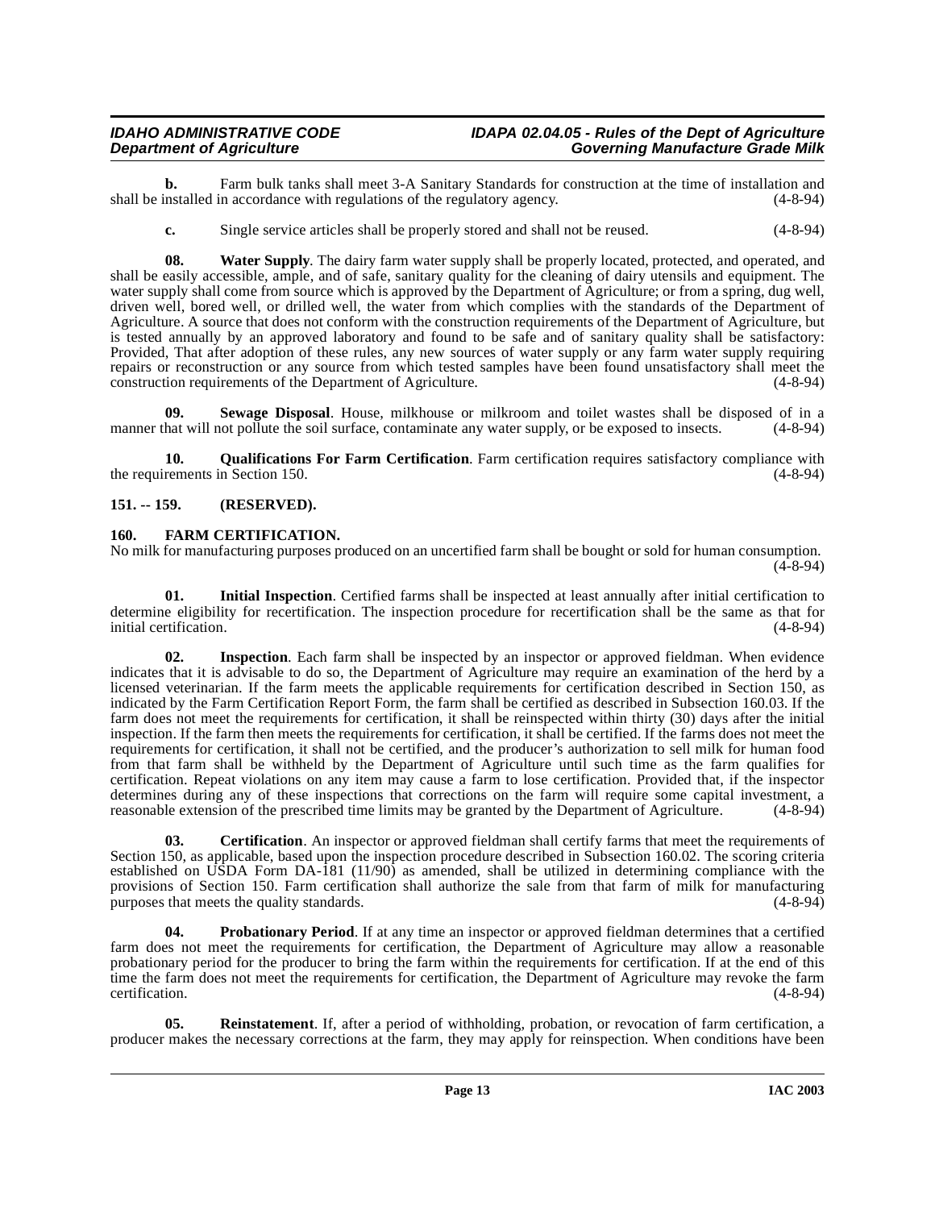#### **IDAHO ADMINISTRATIVE CODE IDAPA 02.04.05 - Rules of the Dept of Agriculture Governing Manufacture Grade Milk**

**b.** Farm bulk tanks shall meet 3-A Sanitary Standards for construction at the time of installation and installed in accordance with regulations of the regulatory agency. (4-8-94) shall be installed in accordance with regulations of the regulatory agency.

<span id="page-12-10"></span>**c.** Single service articles shall be properly stored and shall not be reused. (4-8-94)

**08. Water Supply**. The dairy farm water supply shall be properly located, protected, and operated, and shall be easily accessible, ample, and of safe, sanitary quality for the cleaning of dairy utensils and equipment. The water supply shall come from source which is approved by the Department of Agriculture; or from a spring, dug well, driven well, bored well, or drilled well, the water from which complies with the standards of the Department of Agriculture. A source that does not conform with the construction requirements of the Department of Agriculture, but is tested annually by an approved laboratory and found to be safe and of sanitary quality shall be satisfactory: Provided, That after adoption of these rules, any new sources of water supply or any farm water supply requiring repairs or reconstruction or any source from which tested samples have been found unsatisfactory shall meet the construction requirements of the Department of Agriculture. (4-8-94)

<span id="page-12-9"></span>**09.** Sewage Disposal. House, milkhouse or milkroom and toilet wastes shall be disposed of in a hat will not pollute the soil surface, contaminate any water supply, or be exposed to insects.  $(4-8-94)$ manner that will not pollute the soil surface, contaminate any water supply, or be exposed to insects.

<span id="page-12-7"></span>**10. Qualifications For Farm Certification**. Farm certification requires satisfactory compliance with the requirements in Section 150. (4-8-94)

#### <span id="page-12-0"></span>**151. -- 159. (RESERVED).**

#### <span id="page-12-3"></span><span id="page-12-1"></span>**160. FARM CERTIFICATION.**

No milk for manufacturing purposes produced on an uncertified farm shall be bought or sold for human consumption.  $(4 - 8 - 94)$ 

<span id="page-12-4"></span>**01. Initial Inspection**. Certified farms shall be inspected at least annually after initial certification to determine eligibility for recertification. The inspection procedure for recertification shall be the same as that for initial certification. (4-8-94) initial certification.

<span id="page-12-5"></span>**02. Inspection**. Each farm shall be inspected by an inspector or approved fieldman. When evidence indicates that it is advisable to do so, the Department of Agriculture may require an examination of the herd by a licensed veterinarian. If the farm meets the applicable requirements for certification described in Section 150, as indicated by the Farm Certification Report Form, the farm shall be certified as described in Subsection 160.03. If the farm does not meet the requirements for certification, it shall be reinspected within thirty (30) days after the initial inspection. If the farm then meets the requirements for certification, it shall be certified. If the farms does not meet the requirements for certification, it shall not be certified, and the producer's authorization to sell milk for human food from that farm shall be withheld by the Department of Agriculture until such time as the farm qualifies for certification. Repeat violations on any item may cause a farm to lose certification. Provided that, if the inspector determines during any of these inspections that corrections on the farm will require some capital investment, a reasonable extension of the prescribed time limits may be granted by the Department of Agriculture. (4-8-94)

<span id="page-12-2"></span>**03.** Certification. An inspector or approved fieldman shall certify farms that meet the requirements of Section 150, as applicable, based upon the inspection procedure described in Subsection 160.02. The scoring criteria established on USDA Form DA-181 (11/90) as amended, shall be utilized in determining compliance with the provisions of Section 150. Farm certification shall authorize the sale from that farm of milk for manufacturing purposes that meets the quality standards. (4-8-94)

<span id="page-12-6"></span>**04. Probationary Period**. If at any time an inspector or approved fieldman determines that a certified farm does not meet the requirements for certification, the Department of Agriculture may allow a reasonable probationary period for the producer to bring the farm within the requirements for certification. If at the end of this time the farm does not meet the requirements for certification, the Department of Agriculture may revoke the farm certification. (4-8-94) certification. (4-8-94)

<span id="page-12-8"></span>**05. Reinstatement**. If, after a period of withholding, probation, or revocation of farm certification, a producer makes the necessary corrections at the farm, they may apply for reinspection. When conditions have been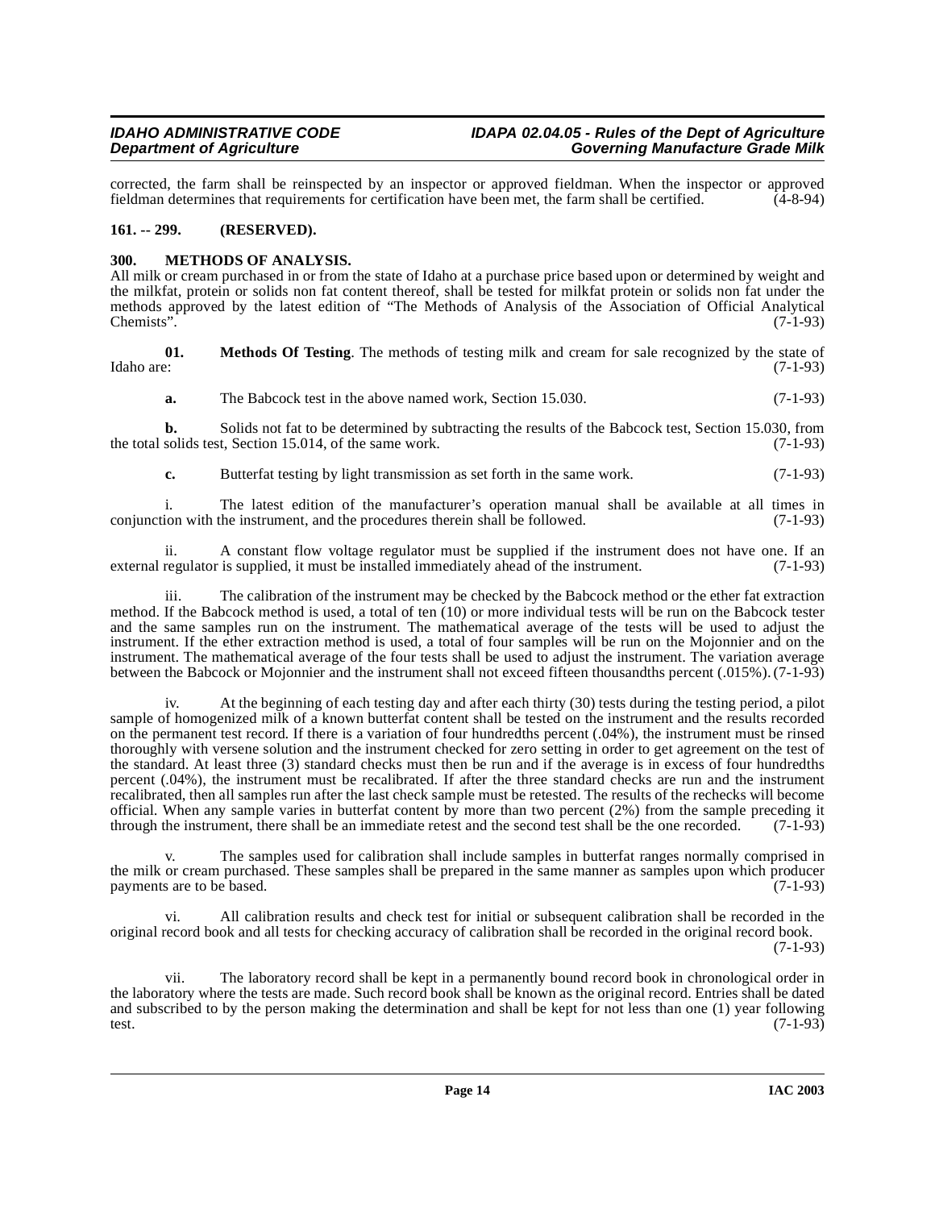corrected, the farm shall be reinspected by an inspector or approved fieldman. When the inspector or approved fieldman determines that requirements for certification have been met, the farm shall be certified. (4-8-94) fieldman determines that requirements for certification have been met, the farm shall be certified.

### <span id="page-13-0"></span>**161. -- 299. (RESERVED).**

### <span id="page-13-2"></span><span id="page-13-1"></span>**300. METHODS OF ANALYSIS.**

All milk or cream purchased in or from the state of Idaho at a purchase price based upon or determined by weight and the milkfat, protein or solids non fat content thereof, shall be tested for milkfat protein or solids non fat under the methods approved by the latest edition of "The Methods of Analysis of the Association of Official Analytical  $\mu$ Chemists". (7-1-93)

**01.** Methods Of Testing. The methods of testing milk and cream for sale recognized by the state of Idaho are: (7-1-93) Idaho are: (7-1-93)

<span id="page-13-3"></span>**a.** The Babcock test in the above named work, Section 15.030. (7-1-93)

**b.** Solids not fat to be determined by subtracting the results of the Babcock test, Section 15.030, from solids test, Section 15.014, of the same work. (7-1-93) the total solids test, Section  $15.014$ , of the same work.

**c.** Butterfat testing by light transmission as set forth in the same work. (7-1-93)

i. The latest edition of the manufacturer's operation manual shall be available at all times in ion with the instrument, and the procedures therein shall be followed.  $(7-1-93)$ conjunction with the instrument, and the procedures therein shall be followed.

ii. A constant flow voltage regulator must be supplied if the instrument does not have one. If an regulator is supplied, it must be installed immediately ahead of the instrument. (7-1-93) external regulator is supplied, it must be installed immediately ahead of the instrument.

iii. The calibration of the instrument may be checked by the Babcock method or the ether fat extraction method. If the Babcock method is used, a total of ten (10) or more individual tests will be run on the Babcock tester and the same samples run on the instrument. The mathematical average of the tests will be used to adjust the instrument. If the ether extraction method is used, a total of four samples will be run on the Mojonnier and on the instrument. The mathematical average of the four tests shall be used to adjust the instrument. The variation average between the Babcock or Mojonnier and the instrument shall not exceed fifteen thousandths percent (.015%). (7-1-93)

At the beginning of each testing day and after each thirty (30) tests during the testing period, a pilot sample of homogenized milk of a known butterfat content shall be tested on the instrument and the results recorded on the permanent test record. If there is a variation of four hundredths percent (.04%), the instrument must be rinsed thoroughly with versene solution and the instrument checked for zero setting in order to get agreement on the test of the standard. At least three (3) standard checks must then be run and if the average is in excess of four hundredths percent (.04%), the instrument must be recalibrated. If after the three standard checks are run and the instrument recalibrated, then all samples run after the last check sample must be retested. The results of the rechecks will become official. When any sample varies in butterfat content by more than two percent (2%) from the sample preceding it through the instrument, there shall be an immediate retest and the second test shall be the one recorded.  $(7-1-93)$ 

The samples used for calibration shall include samples in butterfat ranges normally comprised in the milk or cream purchased. These samples shall be prepared in the same manner as samples upon which producer payments are to be based. (7-1-93)

vi. All calibration results and check test for initial or subsequent calibration shall be recorded in the original record book and all tests for checking accuracy of calibration shall be recorded in the original record book. (7-1-93)

vii. The laboratory record shall be kept in a permanently bound record book in chronological order in the laboratory where the tests are made. Such record book shall be known as the original record. Entries shall be dated and subscribed to by the person making the determination and shall be kept for not less than one (1) year following test. (7-1-93) test.  $(7-1-93)$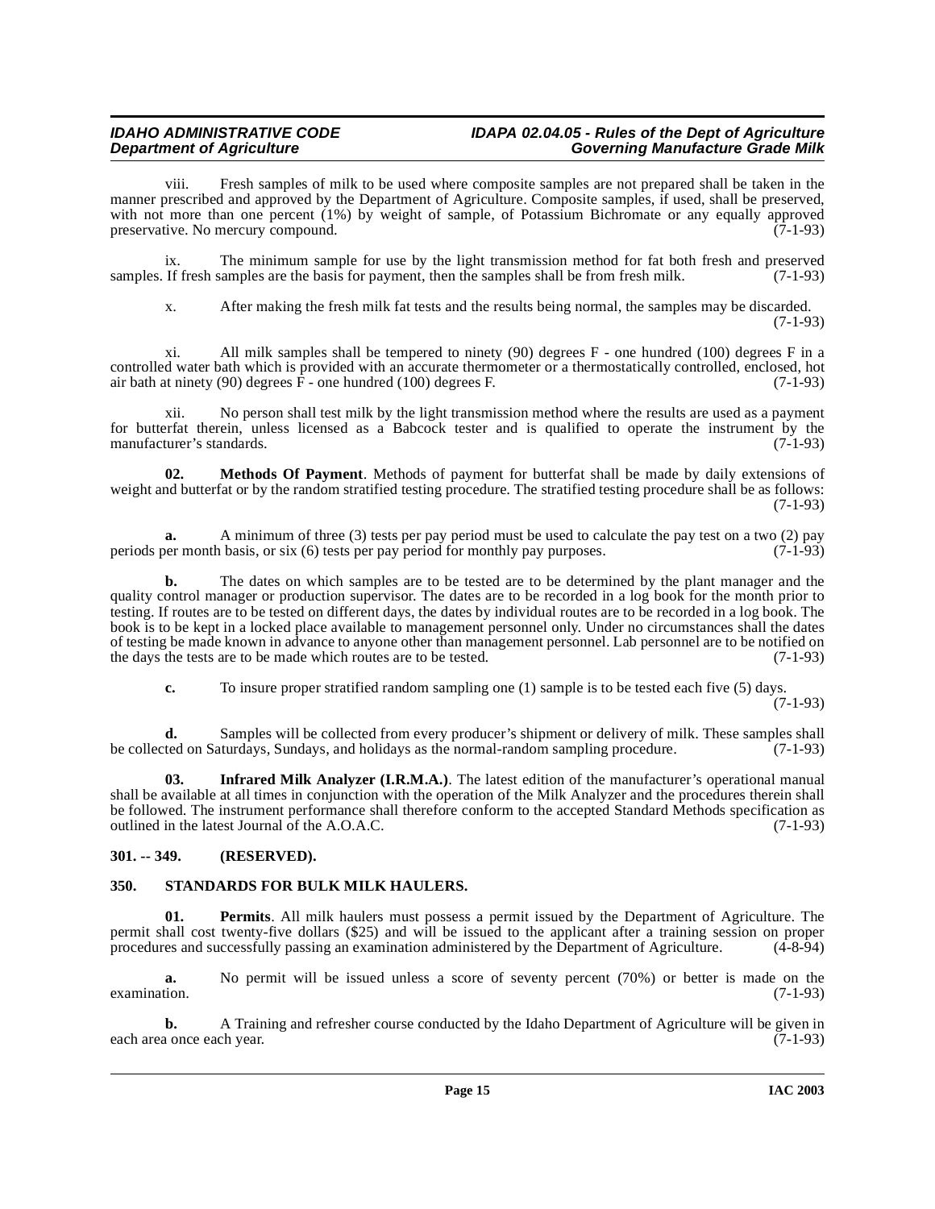#### **IDAHO ADMINISTRATIVE CODE IDAPA 02.04.05 - Rules of the Dept of Agriculture Governing Manufacture Grade Milk**

viii. Fresh samples of milk to be used where composite samples are not prepared shall be taken in the manner prescribed and approved by the Department of Agriculture. Composite samples, if used, shall be preserved, with not more than one percent (1%) by weight of sample, of Potassium Bichromate or any equally approved preservative. No mercury compound. (7-1-93)

ix. The minimum sample for use by the light transmission method for fat both fresh and preserved If fresh samples are the basis for payment, then the samples shall be from fresh milk. (7-1-93) samples. If fresh samples are the basis for payment, then the samples shall be from fresh milk.

x. After making the fresh milk fat tests and the results being normal, the samples may be discarded. (7-1-93)

xi. All milk samples shall be tempered to ninety (90) degrees F - one hundred (100) degrees F in a controlled water bath which is provided with an accurate thermometer or a thermostatically controlled, enclosed, hot air bath at ninety (90) degrees F - one hundred (100) degrees F. (7-1-93)

xii. No person shall test milk by the light transmission method where the results are used as a payment for butterfat therein, unless licensed as a Babcock tester and is qualified to operate the instrument by the manufacturer's standards. (7-1-93) manufacturer's standards.

<span id="page-14-3"></span>**02. Methods Of Payment**. Methods of payment for butterfat shall be made by daily extensions of weight and butterfat or by the random stratified testing procedure. The stratified testing procedure shall be as follows: (7-1-93)

**a.** A minimum of three (3) tests per pay period must be used to calculate the pay test on a two (2) pay periods per month basis, or six (6) tests per pay period for monthly pay purposes. (7-1-93)

**b.** The dates on which samples are to be tested are to be determined by the plant manager and the quality control manager or production supervisor. The dates are to be recorded in a log book for the month prior to testing. If routes are to be tested on different days, the dates by individual routes are to be recorded in a log book. The book is to be kept in a locked place available to management personnel only. Under no circumstances shall the dates of testing be made known in advance to anyone other than management personnel. Lab personnel are to be notified on the days the tests are to be made which routes are to be tested. (7-1-93) the days the tests are to be made which routes are to be tested.

<span id="page-14-2"></span>**c.** To insure proper stratified random sampling one (1) sample is to be tested each five (5) days.

 $(7-1-93)$ 

**d.** Samples will be collected from every producer's shipment or delivery of milk. These samples shall ted on Saturdays, Sundays, and holidays as the normal-random sampling procedure. (7-1-93) be collected on Saturdays, Sundays, and holidays as the normal-random sampling procedure.

**03. Infrared Milk Analyzer (I.R.M.A.)**. The latest edition of the manufacturer's operational manual shall be available at all times in conjunction with the operation of the Milk Analyzer and the procedures therein shall be followed. The instrument performance shall therefore conform to the accepted Standard Methods specification as outlined in the latest Journal of the A.O.A.C. (7-1-93)

### <span id="page-14-0"></span>**301. -- 349. (RESERVED).**

#### <span id="page-14-5"></span><span id="page-14-1"></span>**350. STANDARDS FOR BULK MILK HAULERS.**

<span id="page-14-4"></span>**01. Permits**. All milk haulers must possess a permit issued by the Department of Agriculture. The permit shall cost twenty-five dollars (\$25) and will be issued to the applicant after a training session on proper procedures and successfully passing an examination administered by the Department of Agriculture. (4-8-94) procedures and successfully passing an examination administered by the Department of Agriculture.

**a.** No permit will be issued unless a score of seventy percent (70%) or better is made on the  $\alpha$  examination. (7-1-93)

**b.** A Training and refresher course conducted by the Idaho Department of Agriculture will be given in a once each year. (7-1-93) each area once each year.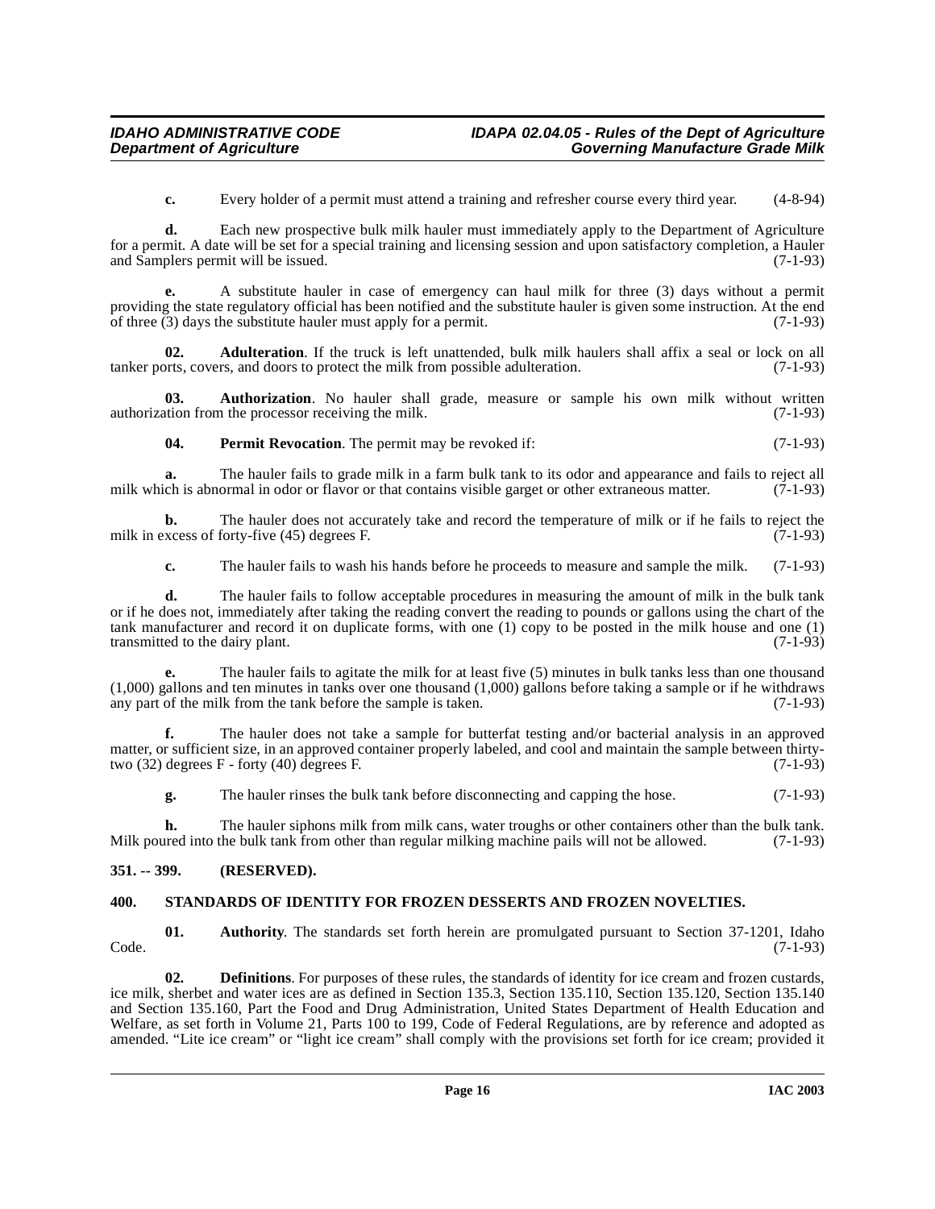**c.** Every holder of a permit must attend a training and refresher course every third year. (4-8-94)

**d.** Each new prospective bulk milk hauler must immediately apply to the Department of Agriculture for a permit. A date will be set for a special training and licensing session and upon satisfactory completion, a Hauler and Samplers permit will be issued. (7-1-93)

**e.** A substitute hauler in case of emergency can haul milk for three (3) days without a permit providing the state regulatory official has been notified and the substitute hauler is given some instruction. At the end of three  $(3)$  days the substitute hauler must apply for a permit.  $(7-1-93)$ 

<span id="page-15-2"></span>**Adulteration**. If the truck is left unattended, bulk milk haulers shall affix a seal or lock on all rs. and doors to protect the milk from possible adulteration. (7-1-93) tanker ports, covers, and doors to protect the milk from possible adulteration.

**03. Authorization**. No hauler shall grade, measure or sample his own milk without written tion from the processor receiving the milk. (7-1-93) authorization from the processor receiving the milk.

<span id="page-15-5"></span><span id="page-15-4"></span>**04.** Permit Revocation. The permit may be revoked if: (7-1-93)

**a.** The hauler fails to grade milk in a farm bulk tank to its odor and appearance and fails to reject all ch is abnormal in odor or flavor or that contains visible garget or other extraneous matter. (7-1-93) milk which is abnormal in odor or flavor or that contains visible garget or other extraneous matter.

**b.** The hauler does not accurately take and record the temperature of milk or if he fails to reject the xcess of forty-five (45) degrees F. milk in excess of forty-five  $(45)$  degrees F.

**c.** The hauler fails to wash his hands before he proceeds to measure and sample the milk. (7-1-93)

**d.** The hauler fails to follow acceptable procedures in measuring the amount of milk in the bulk tank or if he does not, immediately after taking the reading convert the reading to pounds or gallons using the chart of the tank manufacturer and record it on duplicate forms, with one (1) copy to be posted in the milk house and one (1) transmitted to the dairy plant.  $(7-1-93)$ transmitted to the dairy plant.

**e.** The hauler fails to agitate the milk for at least five (5) minutes in bulk tanks less than one thousand (1,000) gallons and ten minutes in tanks over one thousand (1,000) gallons before taking a sample or if he withdraws any part of the milk from the tank before the sample is taken. (7-1-93)

**f.** The hauler does not take a sample for butterfat testing and/or bacterial analysis in an approved matter, or sufficient size, in an approved container properly labeled, and cool and maintain the sample between thirtytwo  $(32)$  degrees F - forty  $(40)$  degrees F.  $(7-1-93)$ 

**g.** The hauler rinses the bulk tank before disconnecting and capping the hose.  $(7-1-93)$ 

**h.** The hauler siphons milk from milk cans, water troughs or other containers other than the bulk tank. Milk poured into the bulk tank from other than regular milking machine pails will not be allowed. (7-1-93)

#### <span id="page-15-0"></span>**351. -- 399. (RESERVED).**

#### <span id="page-15-6"></span><span id="page-15-1"></span>**400. STANDARDS OF IDENTITY FOR FROZEN DESSERTS AND FROZEN NOVELTIES.**

<span id="page-15-3"></span>**01.** Authority. The standards set forth herein are promulgated pursuant to Section 37-1201, Idaho (7-1-93) Code. (7-1-93)

**02. Definitions**. For purposes of these rules, the standards of identity for ice cream and frozen custards, ice milk, sherbet and water ices are as defined in Section 135.3, Section 135.110, Section 135.120, Section 135.140 and Section 135.160, Part the Food and Drug Administration, United States Department of Health Education and Welfare, as set forth in Volume 21, Parts 100 to 199, Code of Federal Regulations, are by reference and adopted as amended. "Lite ice cream" or "light ice cream" shall comply with the provisions set forth for ice cream; provided it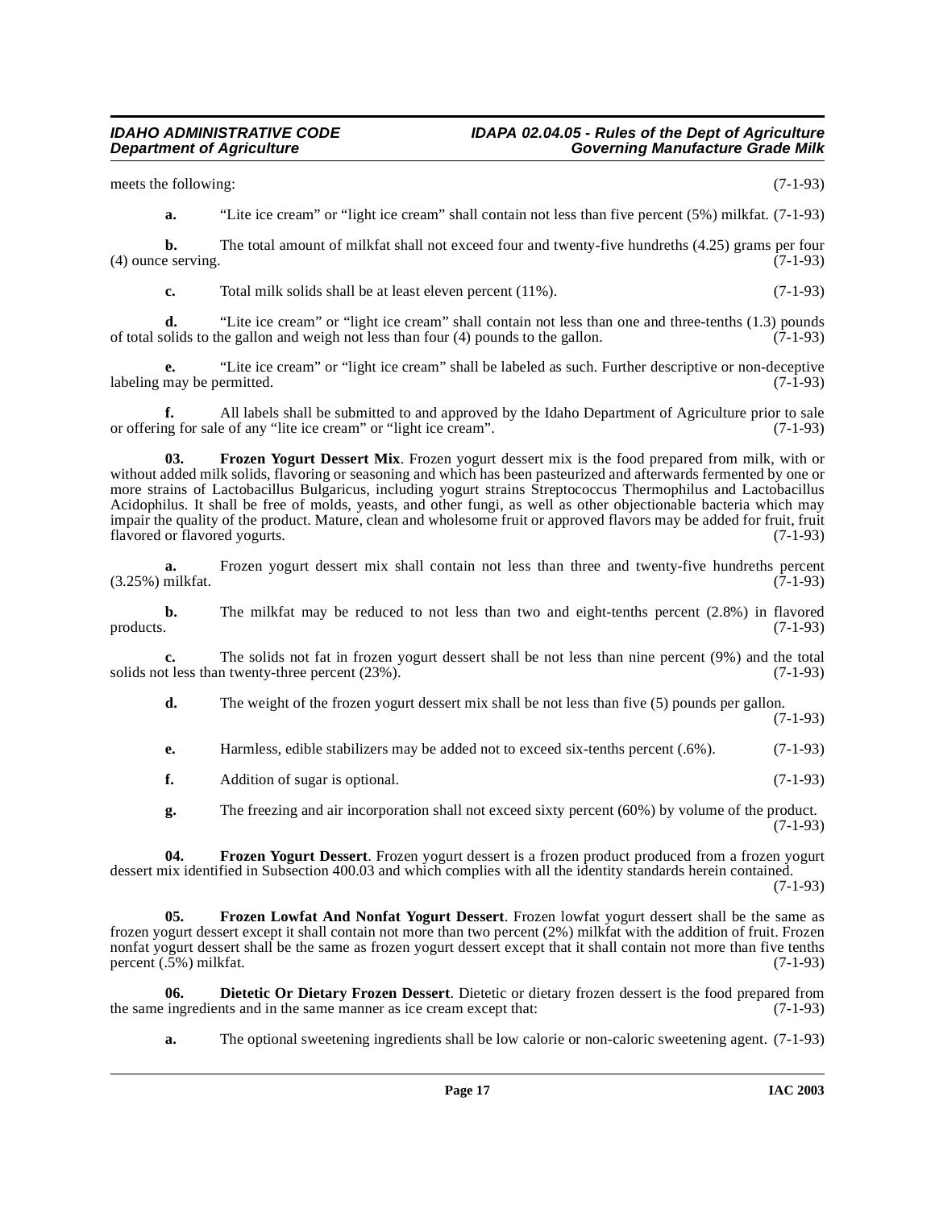meets the following: (7-1-93)

**a.** "Lite ice cream" or "light ice cream" shall contain not less than five percent (5%) milkfat. (7-1-93)

**b.** The total amount of milkfat shall not exceed four and twenty-five hundreths (4.25) grams per four (4) ounce serving.  $(7-1-93)$ 

**c.** Total milk solids shall be at least eleven percent (11%). (7-1-93)

**d.** "Lite ice cream" or "light ice cream" shall contain not less than one and three-tenths (1.3) pounds of total solids to the gallon and weigh not less than four  $(4)$  pounds to the gallon.  $(7-1-93)$ 

**e.** "Lite ice cream" or "light ice cream" shall be labeled as such. Further descriptive or non-deceptive may be permitted. (7-1-93) labeling may be permitted.

**f.** All labels shall be submitted to and approved by the Idaho Department of Agriculture prior to sale of any "lite ice cream" or "light ice cream". (7-1-93) or offering for sale of any "lite ice cream" or "light ice cream".

<span id="page-16-2"></span>**03. Frozen Yogurt Dessert Mix**. Frozen yogurt dessert mix is the food prepared from milk, with or without added milk solids, flavoring or seasoning and which has been pasteurized and afterwards fermented by one or more strains of Lactobacillus Bulgaricus, including yogurt strains Streptococcus Thermophilus and Lactobacillus Acidophilus. It shall be free of molds, yeasts, and other fungi, as well as other objectionable bacteria which may impair the quality of the product. Mature, clean and wholesome fruit or approved flavors may be added for fruit, fruit flavored or flavored yogurts. (7-1-93)

**a.** Frozen yogurt dessert mix shall contain not less than three and twenty-five hundreths percent milkfat. (7-1-93)  $(3.25\%)$  milkfat.

**b.** The milkfat may be reduced to not less than two and eight-tenths percent (2.8%) in flavored products. (7-1-93) products.  $(7-1-93)$ 

**c.** The solids not fat in frozen yogurt dessert shall be not less than nine percent (9%) and the total t less than twenty-three percent (23%). solids not less than twenty-three percent  $(23%)$ .

**d.** The weight of the frozen yogurt dessert mix shall be not less than five (5) pounds per gallon. (7-1-93)

**e.** Harmless, edible stabilizers may be added not to exceed six-tenths percent (.6%). (7-1-93)

**f.** Addition of sugar is optional. (7-1-93)

<span id="page-16-3"></span><span id="page-16-1"></span>**g.** The freezing and air incorporation shall not exceed sixty percent (60%) by volume of the product. (7-1-93)

**04. Frozen Yogurt Dessert**. Frozen yogurt dessert is a frozen product produced from a frozen yogurt dessert mix identified in Subsection 400.03 and which complies with all the identity standards herein contained.

(7-1-93)

**05. Frozen Lowfat And Nonfat Yogurt Dessert**. Frozen lowfat yogurt dessert shall be the same as frozen yogurt dessert except it shall contain not more than two percent (2%) milkfat with the addition of fruit. Frozen nonfat yogurt dessert shall be the same as frozen yogurt dessert except that it shall contain not more than five tenths percent  $(.5\%)$  milkfat.  $(7-1-93)$ 

**06.** Dietetic Or Dietary Frozen Dessert. Dietetic or dietary frozen dessert is the food prepared from ingredients and in the same manner as ice cream except that: (7-1-93) the same ingredients and in the same manner as ice cream except that:

<span id="page-16-0"></span>**a.** The optional sweetening ingredients shall be low calorie or non-caloric sweetening agent. (7-1-93)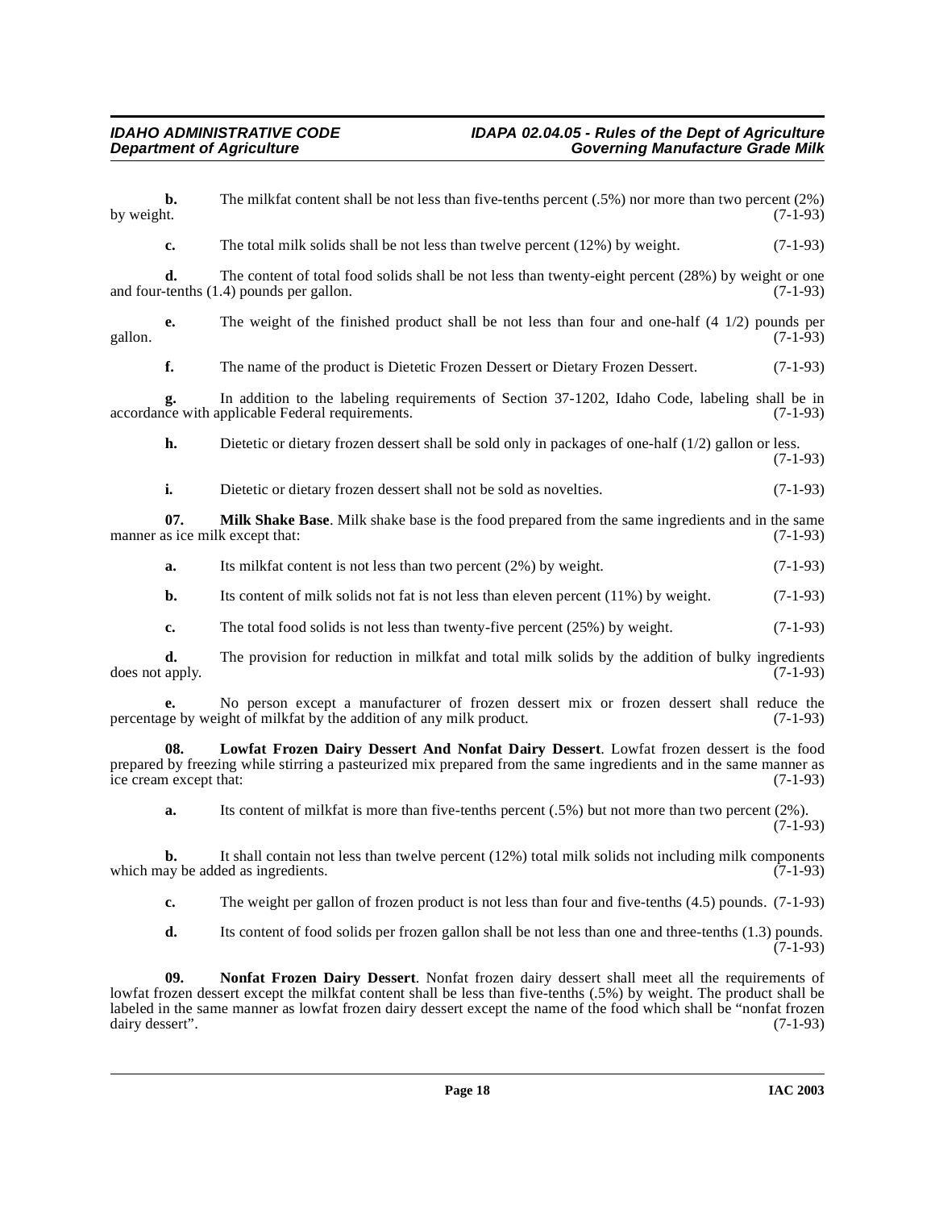**b.** The milkfat content shall be not less than five-tenths percent (.5%) nor more than two percent (2%) by weight. (7-1-93) by weight.  $(7-1-93)$ 

**c.** The total milk solids shall be not less than twelve percent (12%) by weight. (7-1-93)

**d.** The content of total food solids shall be not less than twenty-eight percent (28%) by weight or one tenths (1.4) pounds per gallon. (7-1-93) and four-tenths  $(1.4)$  pounds per gallon.

**e.** The weight of the finished product shall be not less than four and one-half  $(4 \frac{1}{2})$  pounds per  $(7-1-93)$ gallon.  $(7-1-93)$ 

**f.** The name of the product is Dietetic Frozen Dessert or Dietary Frozen Dessert. (7-1-93)

**g.** In addition to the labeling requirements of Section 37-1202, Idaho Code, labeling shall be in the with applicable Federal requirements. (7-1-93) accordance with applicable Federal requirements.

**h.** Dietetic or dietary frozen dessert shall be sold only in packages of one-half (1/2) gallon or less. (7-1-93)

<span id="page-17-1"></span>**i.** Dietetic or dietary frozen dessert shall not be sold as novelties. (7-1-93)

**07. Milk Shake Base**. Milk shake base is the food prepared from the same ingredients and in the same is ice milk except that: (7-1-93) manner as ice milk except that:

**a.** Its milkfat content is not less than two percent (2%) by weight. (7-1-93)

**b.** Its content of milk solids not fat is not less than eleven percent (11%) by weight. (7-1-93)

**c.** The total food solids is not less than twenty-five percent (25%) by weight. (7-1-93)

**d.** The provision for reduction in milkfat and total milk solids by the addition of bulky ingredients apply. (7-1-93) does not apply.

**e.** No person except a manufacturer of frozen dessert mix or frozen dessert shall reduce the percentage by weight of milkfat by the addition of any milk product. (7-1-93)

**08. Lowfat Frozen Dairy Dessert And Nonfat Dairy Dessert**. Lowfat frozen dessert is the food prepared by freezing while stirring a pasteurized mix prepared from the same ingredients and in the same manner as ice cream except that: (7-1-93) ice cream except that:

<span id="page-17-0"></span>**a.** Its content of milkfat is more than five-tenths percent (.5%) but not more than two percent (2%). (7-1-93)

**b.** It shall contain not less than twelve percent (12%) total milk solids not including milk components av be added as ingredients. (7-1-93) which may be added as ingredients.

**c.** The weight per gallon of frozen product is not less than four and five-tenths (4.5) pounds. (7-1-93)

<span id="page-17-2"></span>**d.** Its content of food solids per frozen gallon shall be not less than one and three-tenths (1.3) pounds.  $(7-1-93)$ 

**09. Nonfat Frozen Dairy Dessert**. Nonfat frozen dairy dessert shall meet all the requirements of lowfat frozen dessert except the milkfat content shall be less than five-tenths (.5%) by weight. The product shall be labeled in the same manner as lowfat frozen dairy dessert except the name of the food which shall be "nonfat frozen dairy dessert". (7-1-93) dairy dessert".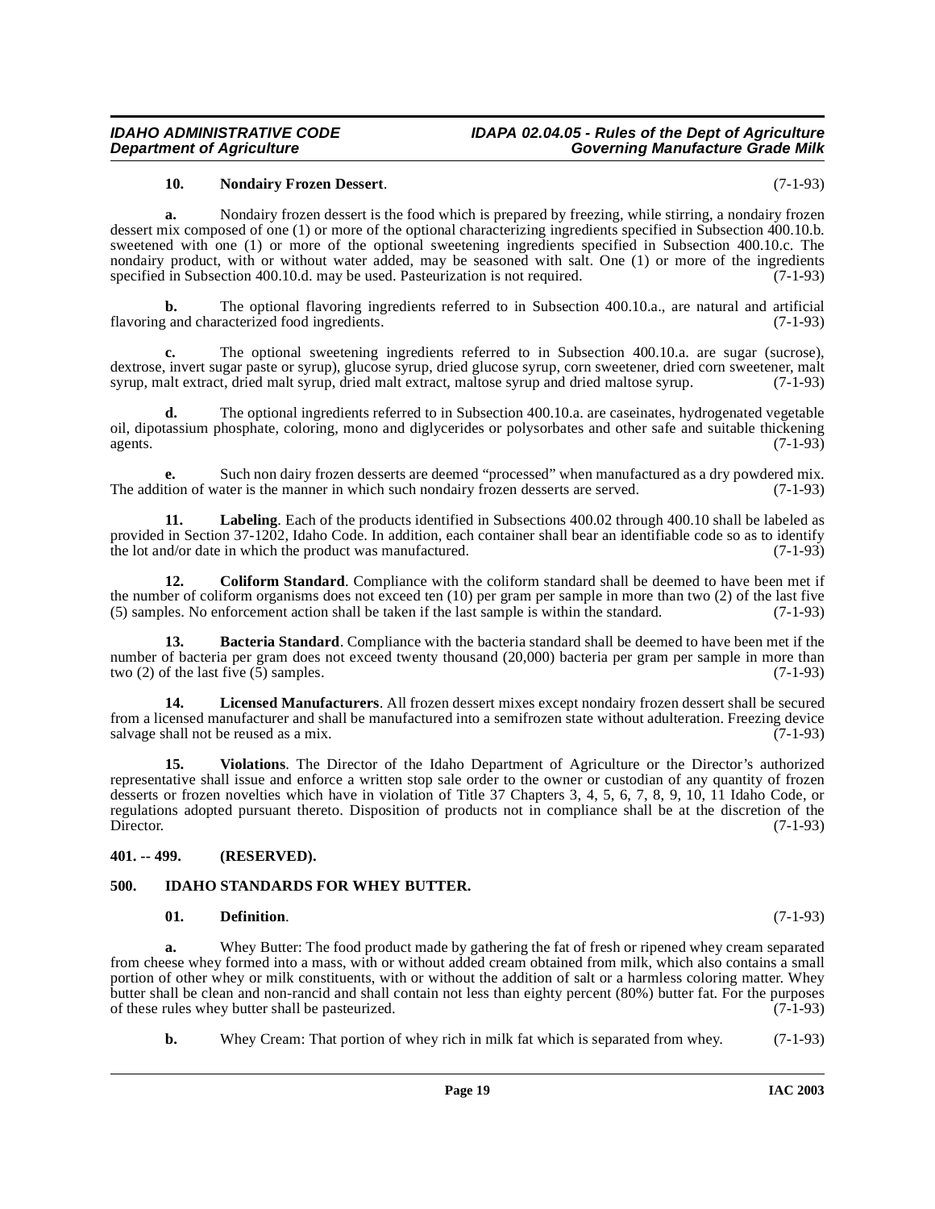#### **IDAHO ADMINISTRATIVE CODE IDAPA 02.04.05 - Rules of the Dept of Agriculture Governing Manufacture Grade Milk**

#### <span id="page-18-8"></span>**10. Nondairy Frozen Dessert**. (7-1-93)

**a.** Nondairy frozen dessert is the food which is prepared by freezing, while stirring, a nondairy frozen dessert mix composed of one (1) or more of the optional characterizing ingredients specified in Subsection 400.10.b. sweetened with one (1) or more of the optional sweetening ingredients specified in Subsection 400.10.c. The nondairy product, with or without water added, may be seasoned with salt. One (1) or more of the ingredients specified in Subsection 400.10.d. may be used. Pasteurization is not required. (7-1-93) specified in Subsection 400.10.d. may be used. Pasteurization is not required.

**b.** The optional flavoring ingredients referred to in Subsection 400.10.a., are natural and artificial flavoring and characterized food ingredients. (7-1-93)

The optional sweetening ingredients referred to in Subsection 400.10.a. are sugar (sucrose), dextrose, invert sugar paste or syrup), glucose syrup, dried glucose syrup, corn sweetener, dried corn sweetener, malt syrup, malt extract, dried malt extract, maltose syrup and dried maltose syrup. (7-1-93) syrup, malt extract, dried malt syrup, dried malt extract, maltose syrup and dried maltose syrup.

**d.** The optional ingredients referred to in Subsection 400.10.a. are caseinates, hydrogenated vegetable oil, dipotassium phosphate, coloring, mono and diglycerides or polysorbates and other safe and suitable thickening agents.  $(7-1-93)$ 

**e.** Such non dairy frozen desserts are deemed "processed" when manufactured as a dry powdered mix. The addition of water is the manner in which such nondairy frozen desserts are served. (7-1-93)

<span id="page-18-6"></span>**11. Labeling**. Each of the products identified in Subsections 400.02 through 400.10 shall be labeled as provided in Section 37-1202, Idaho Code. In addition, each container shall bear an identifiable code so as to identify the lot and/or date in which the product was manufactured. (7-1-93)

<span id="page-18-3"></span>**12. Coliform Standard**. Compliance with the coliform standard shall be deemed to have been met if the number of coliform organisms does not exceed ten  $(10)$  per gram per sample in more than two  $(2)$  of the last five  $(5)$  samples. No enforcement action shall be taken if the last sample is within the standard.  $(7-1-$ (5) samples. No enforcement action shall be taken if the last sample is within the standard.

<span id="page-18-2"></span>**13. Bacteria Standard**. Compliance with the bacteria standard shall be deemed to have been met if the number of bacteria per gram does not exceed twenty thousand (20,000) bacteria per gram per sample in more than two (2) of the last five (5) samples. (7-1-93) two (2) of the last five  $(5)$  samples.

<span id="page-18-7"></span>**14. Licensed Manufacturers**. All frozen dessert mixes except nondairy frozen dessert shall be secured from a licensed manufacturer and shall be manufactured into a semifrozen state without adulteration. Freezing device salvage shall not be reused as a mix.  $(7-1-93)$ 

<span id="page-18-9"></span>**15. Violations**. The Director of the Idaho Department of Agriculture or the Director's authorized representative shall issue and enforce a written stop sale order to the owner or custodian of any quantity of frozen desserts or frozen novelties which have in violation of Title 37 Chapters 3, 4, 5, 6, 7, 8, 9, 10, 11 Idaho Code, or regulations adopted pursuant thereto. Disposition of products not in compliance shall be at the discretion of the Director. (7-1-93)

#### <span id="page-18-0"></span>**401. -- 499. (RESERVED).**

#### <span id="page-18-1"></span>**500. IDAHO STANDARDS FOR WHEY BUTTER.**

#### <span id="page-18-5"></span><span id="page-18-4"></span>**01. Definition**. (7-1-93)

**a.** Whey Butter: The food product made by gathering the fat of fresh or ripened whey cream separated from cheese whey formed into a mass, with or without added cream obtained from milk, which also contains a small portion of other whey or milk constituents, with or without the addition of salt or a harmless coloring matter. Whey butter shall be clean and non-rancid and shall contain not less than eighty percent (80%) butter fat. For the purposes of these rules whey butter shall be pasteurized. of these rules whey butter shall be pasteurized.

**b.** Whey Cream: That portion of whey rich in milk fat which is separated from whey. (7-1-93)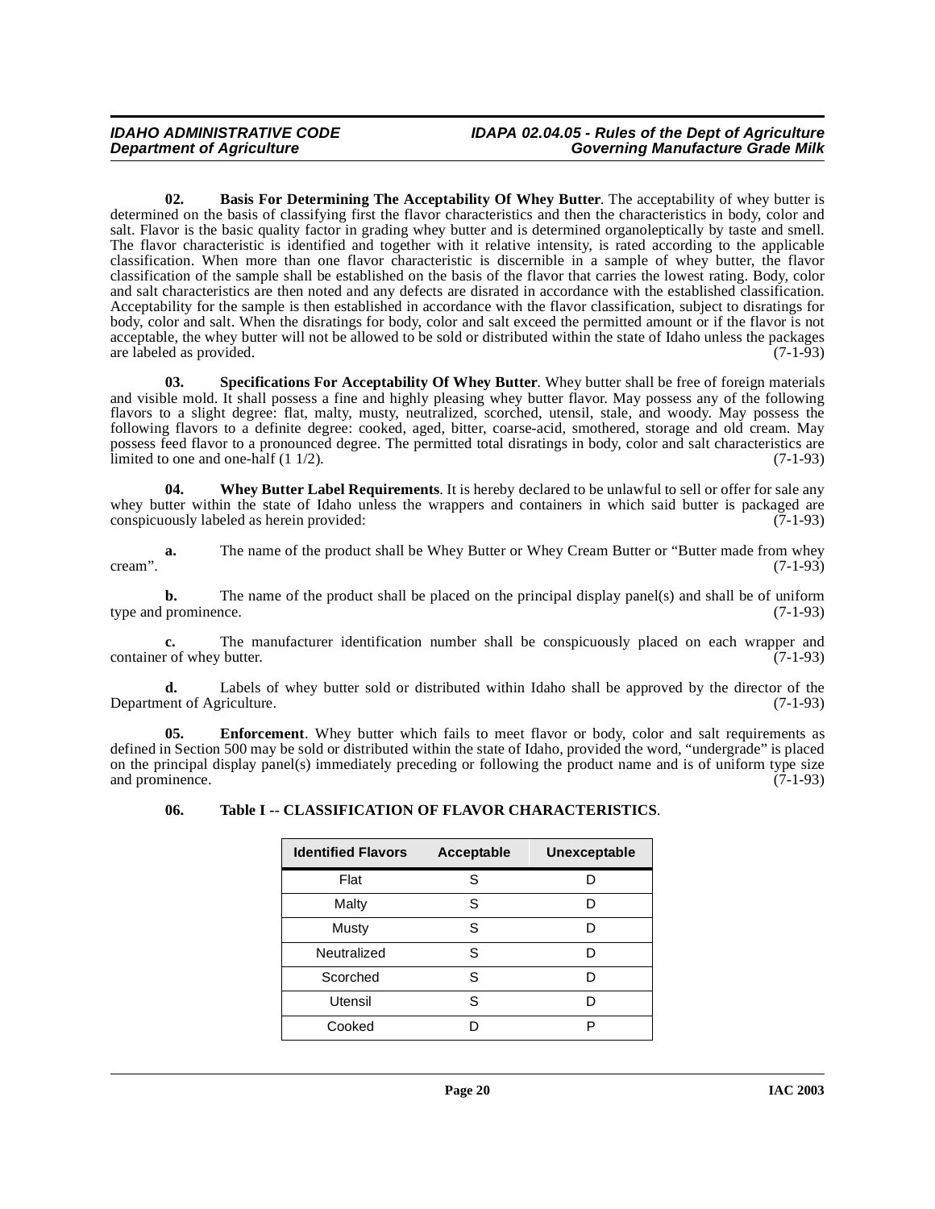<span id="page-19-0"></span>**02. Basis For Determining The Acceptability Of Whey Butter**. The acceptability of whey butter is determined on the basis of classifying first the flavor characteristics and then the characteristics in body, color and salt. Flavor is the basic quality factor in grading whey butter and is determined organoleptically by taste and smell. The flavor characteristic is identified and together with it relative intensity, is rated according to the applicable classification. When more than one flavor characteristic is discernible in a sample of whey butter, the flavor classification of the sample shall be established on the basis of the flavor that carries the lowest rating. Body, color and salt characteristics are then noted and any defects are disrated in accordance with the established classification. Acceptability for the sample is then established in accordance with the flavor classification, subject to disratings for body, color and salt. When the disratings for body, color and salt exceed the permitted amount or if the flavor is not acceptable, the whey butter will not be allowed to be sold or distributed within the state of Idaho unless the packages are labeled as provided. (7-1-93) are labeled as provided.

<span id="page-19-2"></span>**03. Specifications For Acceptability Of Whey Butter**. Whey butter shall be free of foreign materials and visible mold. It shall possess a fine and highly pleasing whey butter flavor. May possess any of the following flavors to a slight degree: flat, malty, musty, neutralized, scorched, utensil, stale, and woody. May possess the following flavors to a definite degree: cooked, aged, bitter, coarse-acid, smothered, storage and old cream. May possess feed flavor to a pronounced degree. The permitted total disratings in body, color and salt characteristics are limited to one and one-half  $(1 \frac{1}{2})$ . (7-1-93)

<span id="page-19-4"></span>**04. Whey Butter Label Requirements**. It is hereby declared to be unlawful to sell or offer for sale any whey butter within the state of Idaho unless the wrappers and containers in which said butter is packaged are conspicuously labeled as herein provided: (7-1-93) conspicuously labeled as herein provided:

**a.** The name of the product shall be Whey Butter or Whey Cream Butter or "Butter made from whey cream".  $(7-1-93)$ 

**b.** The name of the product shall be placed on the principal display panel(s) and shall be of uniform prominence.  $(7-1-93)$ type and prominence.

**c.** The manufacturer identification number shall be conspicuously placed on each wrapper and r of whey butter. (7-1-93) container of whey butter.

**d.** Labels of whey butter sold or distributed within Idaho shall be approved by the director of the ent of Agriculture. (7-1-93) Department of Agriculture.

**05. Enforcement**. Whey butter which fails to meet flavor or body, color and salt requirements as defined in Section 500 may be sold or distributed within the state of Idaho, provided the word, "undergrade" is placed on the principal display panel(s) immediately preceding or following the product name and is of uniform type size and prominence. (7-1-93) and prominence.

<span id="page-19-3"></span><span id="page-19-1"></span>

|  | 06. |  |  |  | Table I -- CLASSIFICATION OF FLAVOR CHARACTERISTICS. |
|--|-----|--|--|--|------------------------------------------------------|
|--|-----|--|--|--|------------------------------------------------------|

| <b>Identified Flavors</b> | Acceptable | Unexceptable |
|---------------------------|------------|--------------|
| Flat                      | S          | D            |
| Malty                     | S          | D            |
| Musty                     | S          | D            |
| Neutralized               | S          | D            |
| Scorched                  | S          | D            |
| Utensil                   | S          | D            |
| Cooked                    |            | P            |
|                           |            |              |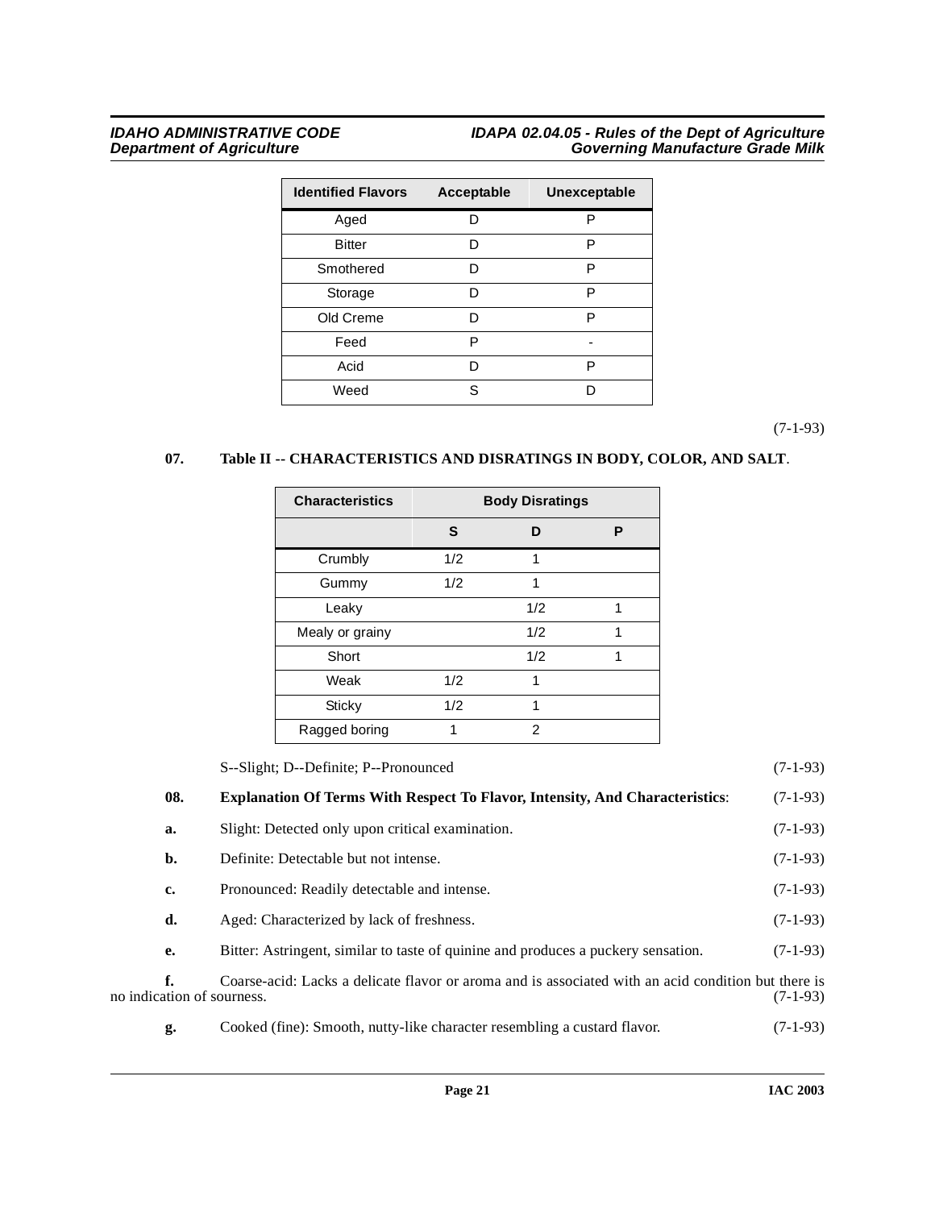### **IDAHO ADMINISTRATIVE CODE IDAPA 02.04.05 - Rules of the Dept of Agriculture Department of Agriculture Governing Manufacture Grade Milk**

| <b>Identified Flavors</b> | <b>Acceptable</b> | Unexceptable |
|---------------------------|-------------------|--------------|
| Aged                      | D                 | P            |
| <b>Bitter</b>             | D                 | P            |
| Smothered                 | D                 | P            |
| Storage                   | D                 | P            |
| Old Creme                 | D                 | P            |
| Feed                      | P                 |              |
| Acid                      | D                 | P            |
| Weed                      | S.                | n            |

(7-1-93)

### <span id="page-20-1"></span>**07. Table II -- CHARACTERISTICS AND DISRATINGS IN BODY, COLOR, AND SALT**.

| <b>Characteristics</b> |     | <b>Body Disratings</b> |   |
|------------------------|-----|------------------------|---|
|                        | S   | ח                      | Р |
| Crumbly                | 1/2 | 1                      |   |
| Gummy                  | 1/2 |                        |   |
| Leaky                  |     | 1/2                    | 1 |
| Mealy or grainy        |     | 1/2                    | 1 |
| Short                  |     | 1/2                    | 1 |
| Weak                   | 1/2 |                        |   |
| Sticky                 | 1/2 |                        |   |
| Ragged boring          | 1   | $\mathfrak{p}$         |   |

<span id="page-20-0"></span>

|                                  | S--Slight; D--Definite; P--Pronounced                                                               | $(7-1-93)$ |
|----------------------------------|-----------------------------------------------------------------------------------------------------|------------|
| 08.                              | <b>Explanation Of Terms With Respect To Flavor, Intensity, And Characteristics:</b>                 | $(7-1-93)$ |
| a.                               | Slight: Detected only upon critical examination.                                                    | $(7-1-93)$ |
| b.                               | Definite: Detectable but not intense.                                                               | $(7-1-93)$ |
| c.                               | Pronounced: Readily detectable and intense.                                                         | $(7-1-93)$ |
| d.                               | Aged: Characterized by lack of freshness.                                                           | $(7-1-93)$ |
| е.                               | Bitter: Astringent, similar to taste of quinine and produces a puckery sensation.                   | $(7-1-93)$ |
| f.<br>no indication of sourness. | Coarse-acid: Lacks a delicate flavor or aroma and is associated with an acid condition but there is | $(7-1-93)$ |
| g.                               | Cooked (fine): Smooth, nutty-like character resembling a custard flavor.                            | $(7-1-93)$ |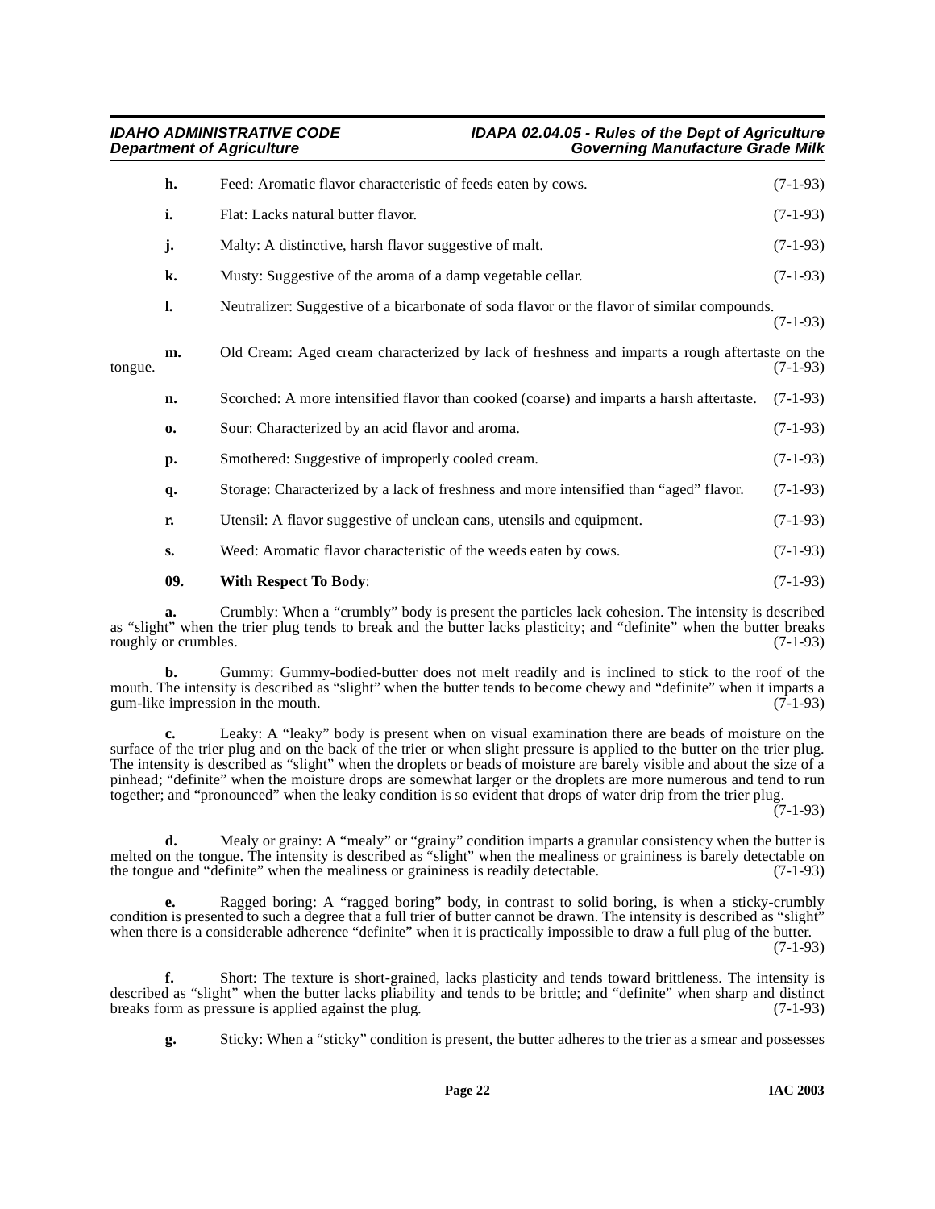|         | h.            | Feed: Aromatic flavor characteristic of feeds eaten by cows.                                   | $(7-1-93)$ |
|---------|---------------|------------------------------------------------------------------------------------------------|------------|
|         | i.            | Flat: Lacks natural butter flavor.                                                             | $(7-1-93)$ |
|         | j.            | Malty: A distinctive, harsh flavor suggestive of malt.                                         | $(7-1-93)$ |
|         | k.            | Musty: Suggestive of the aroma of a damp vegetable cellar.                                     | $(7-1-93)$ |
|         | 1.            | Neutralizer: Suggestive of a bicarbonate of soda flavor or the flavor of similar compounds.    | $(7-1-93)$ |
| tongue. | m.            | Old Cream: Aged cream characterized by lack of freshness and imparts a rough aftertaste on the | $(7-1-93)$ |
|         | n.            | Scorched: A more intensified flavor than cooked (coarse) and imparts a harsh aftertaste.       | $(7-1-93)$ |
|         | 0.            | Sour: Characterized by an acid flavor and aroma.                                               | $(7-1-93)$ |
|         | p.            | Smothered: Suggestive of improperly cooled cream.                                              | $(7-1-93)$ |
|         | q.            | Storage: Characterized by a lack of freshness and more intensified than "aged" flavor.         | $(7-1-93)$ |
|         | r.            | Utensil: A flavor suggestive of unclean cans, utensils and equipment.                          | $(7-1-93)$ |
|         | $S_{\bullet}$ | Weed: Aromatic flavor characteristic of the weeds eaten by cows.                               | $(7-1-93)$ |
|         | 09.           | <b>With Respect To Body:</b>                                                                   | $(7-1-93)$ |
|         |               |                                                                                                |            |

<span id="page-21-0"></span>**a.** Crumbly: When a "crumbly" body is present the particles lack cohesion. The intensity is described as "slight" when the trier plug tends to break and the butter lacks plasticity; and "definite" when the butter breaks roughly or crumbles. (7-1-93) roughly or crumbles.

**b.** Gummy: Gummy-bodied-butter does not melt readily and is inclined to stick to the roof of the mouth. The intensity is described as "slight" when the butter tends to become chewy and "definite" when it imparts a gum-like impression in the mouth. (7-1-93) gum-like impression in the mouth.

**c.** Leaky: A "leaky" body is present when on visual examination there are beads of moisture on the surface of the trier plug and on the back of the trier or when slight pressure is applied to the butter on the trier plug. The intensity is described as "slight" when the droplets or beads of moisture are barely visible and about the size of a pinhead; "definite" when the moisture drops are somewhat larger or the droplets are more numerous and tend to run together; and "pronounced" when the leaky condition is so evident that drops of water drip from the trier plug.

 $(7-1-93)$ 

**d.** Mealy or grainy: A "mealy" or "grainy" condition imparts a granular consistency when the butter is melted on the tongue. The intensity is described as "slight" when the mealiness or graininess is barely detectable on the tongue and "definite" when the mealiness or graininess is readily detectable. (7-1-93) the tongue and "definite" when the mealiness or graininess is readily detectable.

**e.** Ragged boring: A "ragged boring" body, in contrast to solid boring, is when a sticky-crumbly condition is presented to such a degree that a full trier of butter cannot be drawn. The intensity is described as "slight" when there is a considerable adherence "definite" when it is practically impossible to draw a full plug of the butter.

(7-1-93)

**f.** Short: The texture is short-grained, lacks plasticity and tends toward brittleness. The intensity is described as "slight" when the butter lacks pliability and tends to be brittle; and "definite" when sharp and distinct breaks form as pressure is applied against the plug. (7-1-93) breaks form as pressure is applied against the plug.

**g.** Sticky: When a "sticky" condition is present, the butter adheres to the trier as a smear and possesses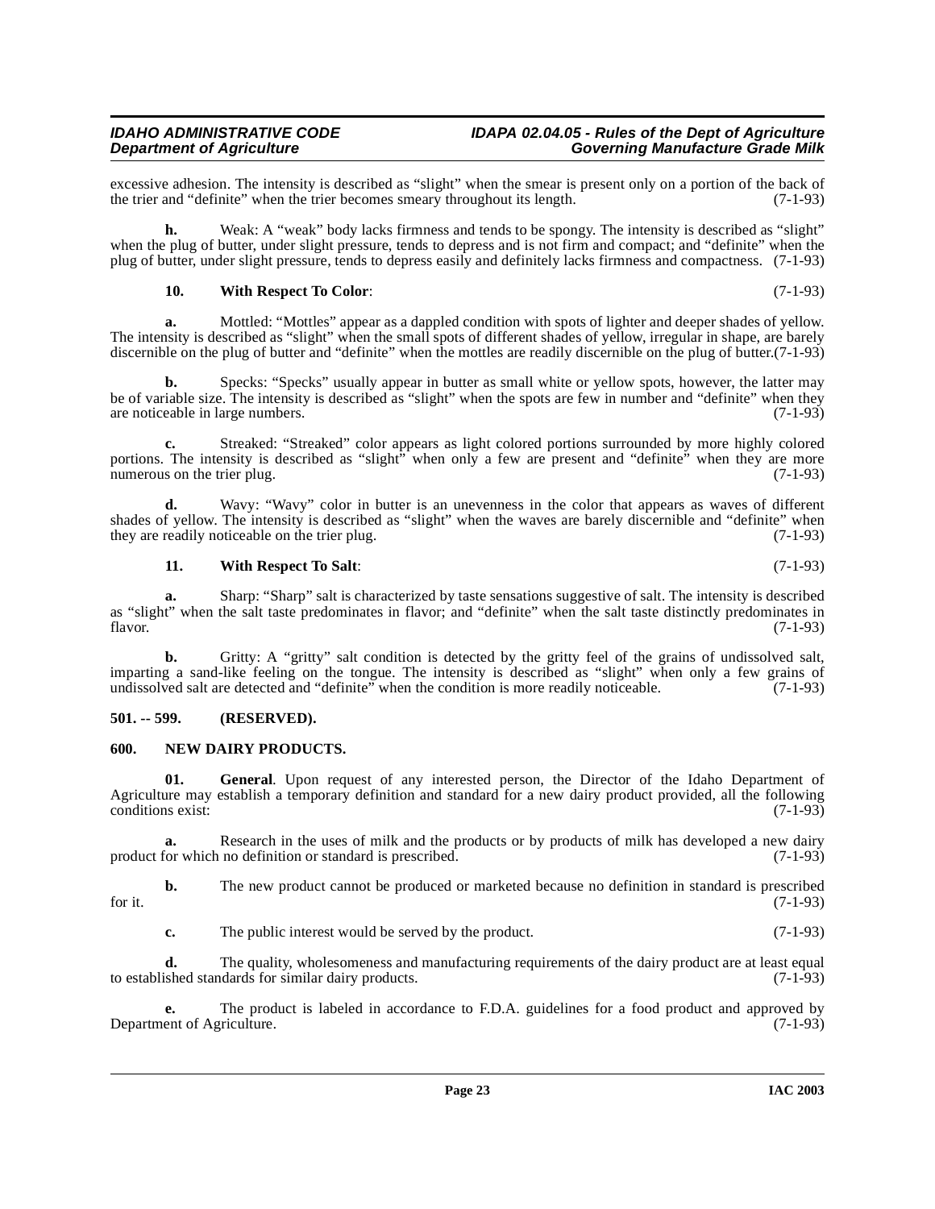excessive adhesion. The intensity is described as "slight" when the smear is present only on a portion of the back of the trier and "definite" when the trier becomes smeary throughout its length. (7-1-93) the trier and "definite" when the trier becomes smeary throughout its length.

**h.** Weak: A "weak" body lacks firmness and tends to be spongy. The intensity is described as "slight" when the plug of butter, under slight pressure, tends to depress and is not firm and compact; and "definite" when the plug of butter, under slight pressure, tends to depress easily and definitely lacks firmness and compactness. (7-1-93)

#### <span id="page-22-3"></span>**10. With Respect To Color**: (7-1-93)

**a.** Mottled: "Mottles" appear as a dappled condition with spots of lighter and deeper shades of yellow. The intensity is described as "slight" when the small spots of different shades of yellow, irregular in shape, are barely discernible on the plug of butter and "definite" when the mottles are readily discernible on the plug of butter.(7-1-93)

**b.** Specks: "Specks" usually appear in butter as small white or yellow spots, however, the latter may be of variable size. The intensity is described as "slight" when the spots are few in number and "definite" when they are noticeable in large numbers. (7-1-93) are noticeable in large numbers.

**c.** Streaked: "Streaked" color appears as light colored portions surrounded by more highly colored portions. The intensity is described as "slight" when only a few are present and "definite" when they are more numerous on the trier plug. (7-1-93)

**d.** Wavy: "Wavy" color in butter is an unevenness in the color that appears as waves of different shades of yellow. The intensity is described as "slight" when the waves are barely discernible and "definite" when they are readily noticeable on the trier plug. (7-1-93) they are readily noticeable on the trier plug.

#### <span id="page-22-4"></span>**11. With Respect To Salt**: (7-1-93)

**a.** Sharp: "Sharp" salt is characterized by taste sensations suggestive of salt. The intensity is described as "slight" when the salt taste predominates in flavor; and "definite" when the salt taste distinctly predominates in flavor. (7-1-93) flavor. (7-1-93)

**b.** Gritty: A "gritty" salt condition is detected by the gritty feel of the grains of undissolved salt, imparting a sand-like feeling on the tongue. The intensity is described as "slight" when only a few grains of undissolved salt are detected and "definite" when the condition is more readily noticeable. (7-1-93)

#### <span id="page-22-0"></span>**501. -- 599. (RESERVED).**

#### <span id="page-22-2"></span><span id="page-22-1"></span>**600. NEW DAIRY PRODUCTS.**

**01. General**. Upon request of any interested person, the Director of the Idaho Department of Agriculture may establish a temporary definition and standard for a new dairy product provided, all the following conditions exist: (7-1-93)

**a.** Research in the uses of milk and the products or by products of milk has developed a new dairy for which no definition or standard is prescribed. (7-1-93) product for which no definition or standard is prescribed.

**b.** The new product cannot be produced or marketed because no definition in standard is prescribed for it.  $(7-1-93)$ 

**c.** The public interest would be served by the product. (7-1-93)

**d.** The quality, wholesomeness and manufacturing requirements of the dairy product are at least equal to established standards for similar dairy products. (7-1-93)

**e.** The product is labeled in accordance to F.D.A. guidelines for a food product and approved by ent of Agriculture. (7-1-93) Department of Agriculture.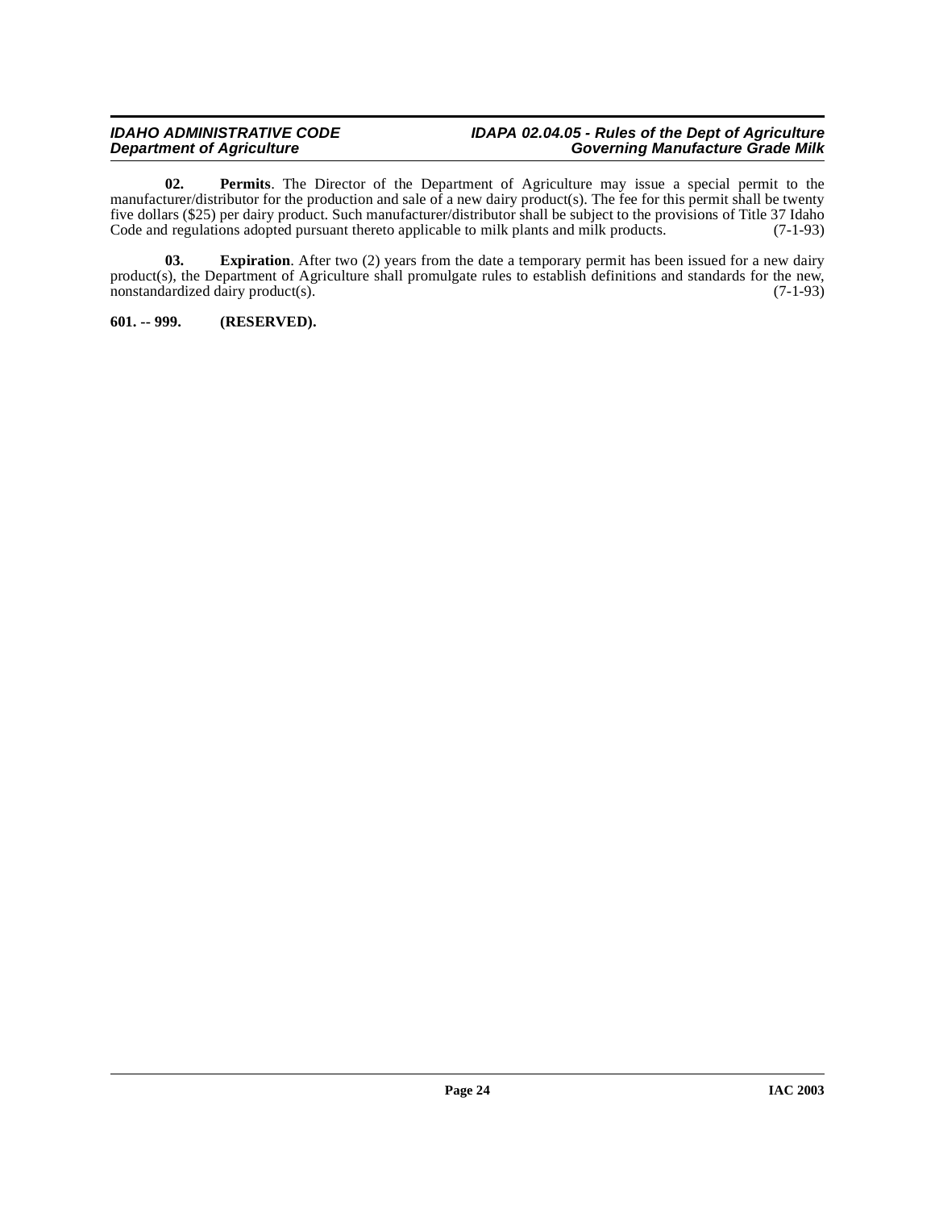#### **IDAHO ADMINISTRATIVE CODE IDAPA 02.04.05 - Rules of the Dept of Agriculture Department of Agriculture Governing Manufacture Grade Milk**

<span id="page-23-2"></span>**02. Permits**. The Director of the Department of Agriculture may issue a special permit to the manufacturer/distributor for the production and sale of a new dairy product(s). The fee for this permit shall be twenty five dollars (\$25) per dairy product. Such manufacturer/distributor shall be subject to the provisions of Title 37 Idaho Code and regulations adopted pursuant thereto applicable to milk plants and milk products. (7-1-93) Code and regulations adopted pursuant thereto applicable to milk plants and milk products.

<span id="page-23-1"></span>**03.** Expiration. After two (2) years from the date a temporary permit has been issued for a new dairy product(s), the Department of Agriculture shall promulgate rules to establish definitions and standards for the new, nonstandardized dairy product(s). (7-1-93)  $n$ onstandardized dairy product $(s)$ .

<span id="page-23-0"></span>**601. -- 999. (RESERVED).**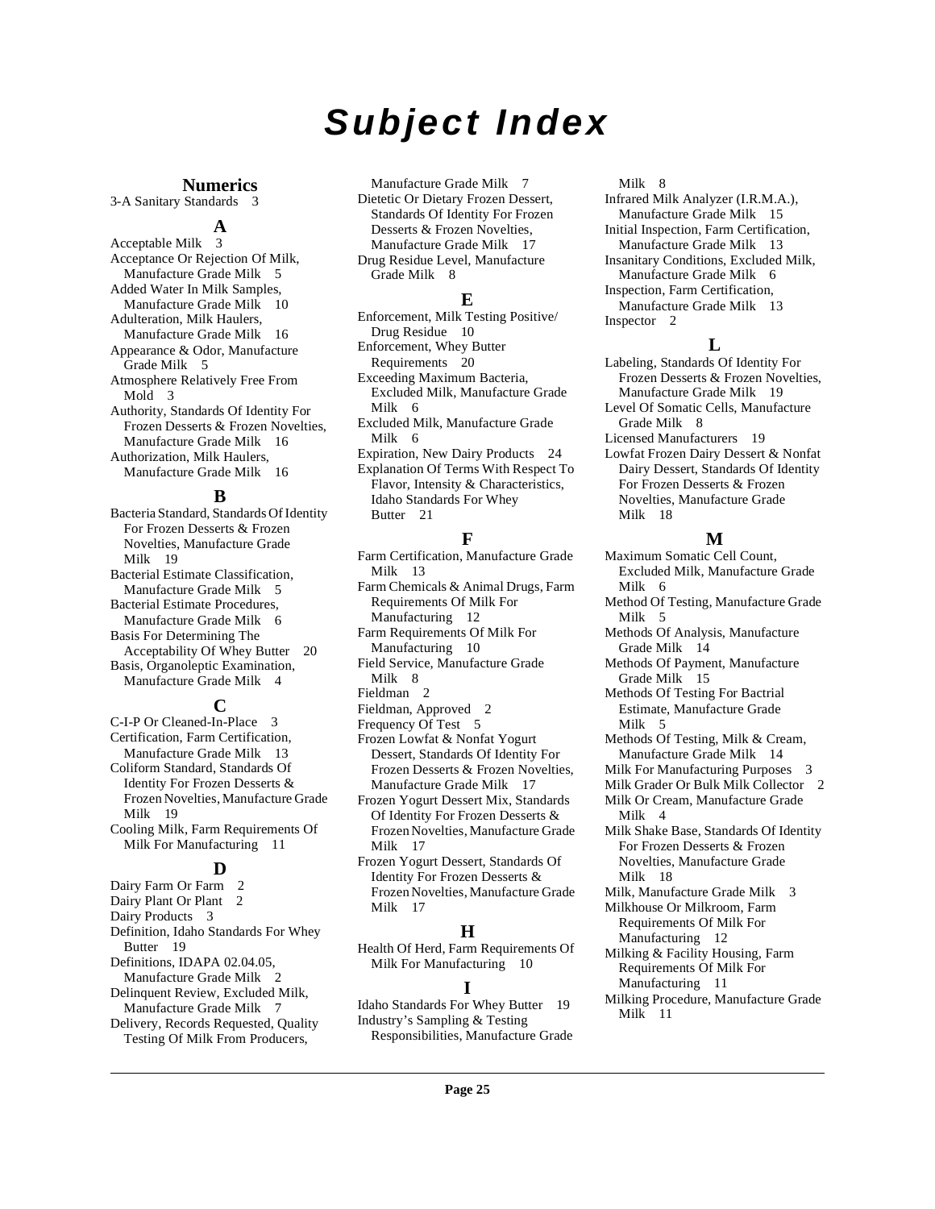## **Subject Index**

### **Numerics**

3-A Sanitary Standards [3](#page-2-0)

### **A**

Acceptable Milk [3](#page-2-1) Acceptance Or Rejection Of Milk, Manufacture Grade Milk [5](#page-4-2) Added Water In Milk Samples, Manufacture Grade Milk [10](#page-9-5) Adulteration, Milk Haulers, Manufacture Grade Milk [16](#page-15-2) Appearance & Odor, Manufacture Grade Milk [5](#page-4-3) Atmosphere Relatively Free From Mold [3](#page-2-2) Authority, Standards Of Identity For Frozen Desserts & Frozen Novelties, Manufacture Grade Milk [16](#page-15-3) Authorization, Milk Haulers, Manufacture Grade Milk [16](#page-15-4)

### **B**

Bacteria Standard, Standards Of Identity For Frozen Desserts & Frozen Novelties, Manufacture Grade Milk [19](#page-18-2) Bacterial Estimate Classification, Manufacture Grade Milk [5](#page-4-4) Bacterial Estimate Procedures, Manufacture Grade Milk [6](#page-5-4) Basis For Determining The Acceptability Of Whey Butter [20](#page-19-0) Basis, Organoleptic Examination, Manufacture Grade Milk [4](#page-3-4)

#### **C**

C-I-P Or Cleaned-In-Place [3](#page-2-3) Certification, Farm Certification, Manufacture Grade Milk [13](#page-12-2) Coliform Standard, Standards Of Identity For Frozen Desserts & Frozen Novelties, Manufacture Grade Milk [19](#page-18-3) Cooling Milk, Farm Requirements Of Milk For Manufacturing [11](#page-10-0)

#### **D**

Dairy Farm Or Farm [2](#page-1-6)<br>Dairy Plant Or Plant 2 Dairy Plant Or Plant Dairy Products [3](#page-2-4) Definition, Idaho Standards For Whey Butter [19](#page-18-4) Definitions, IDAPA 02.04.05, Manufacture Grade Milk [2](#page-1-8) Delinquent Review, Excluded Milk, Manufacture Grade Milk [7](#page-6-2) Delivery, Records Requested, Quality Testing Of Milk From Producers,

Manufacture Grade Milk [7](#page-6-3) Dietetic Or Dietary Frozen Dessert, Standards Of Identity For Frozen Desserts & Frozen Novelties, Manufacture Grade Milk [17](#page-16-0) Drug Residue Level, Manufacture Grade Milk [8](#page-7-5)

#### **E**

Enforcement, Milk Testing Positive/ Drug Residue [10](#page-9-6) Enforcement, Whey Butter Requirements [20](#page-19-1) Exceeding Maximum Bacteria, Excluded Milk, Manufacture Grade Milk [6](#page-5-5) Excluded Milk, Manufacture Grade Milk [6](#page-5-6) Expiration, New Dairy Products [24](#page-23-1) Explanation Of Terms With Respect To Flavor, Intensity & Characteristics, Idaho Standards For Whey

### Butter [21](#page-20-0)

#### **F**

Farm Certification, Manufacture Grade Milk [13](#page-12-3) Farm Chemicals & Animal Drugs, Farm Requirements Of Milk For Manufacturing [12](#page-11-0) Farm Requirements Of Milk For Manufacturing [10](#page-9-7) Field Service, Manufacture Grade Milk [8](#page-7-6) Fieldman [2](#page-1-9) Fieldman, Approved [2](#page-1-10) Frequency Of Test [5](#page-4-5) Frozen Lowfat & Nonfat Yogurt Dessert, Standards Of Identity For Frozen Desserts & Frozen Novelties, Manufacture Grade Milk [17](#page-16-1) Frozen Yogurt Dessert Mix, Standards Of Identity For Frozen Desserts & Frozen Novelties, Manufacture Grade Milk [17](#page-16-2) Frozen Yogurt Dessert, Standards Of

Identity For Frozen Desserts & Frozen Novelties, Manufacture Grade Milk [17](#page-16-3)

#### **H**

Health Of Herd, Farm Requirements Of Milk For Manufacturing [10](#page-9-8)

#### **I**

Idaho Standards For Whey Butter [19](#page-18-5) Industry's Sampling & Testing Responsibilities, Manufacture Grade Milk [8](#page-7-7)

Infrared Milk Analyzer (I.R.M.A.), Manufacture Grade Milk [15](#page-14-2) Initial Inspection, Farm Certification, Manufacture Grade Milk [13](#page-12-4) Insanitary Conditions, Excluded Milk,

- Manufacture Grade Milk [6](#page-5-7)
- Inspection, Farm Certification,

Manufacture Grade Milk [13](#page-12-5) Inspector [2](#page-1-11)

#### **L**

Labeling, Standards Of Identity For Frozen Desserts & Frozen Novelties, Manufacture Grade Milk [19](#page-18-6)

Level Of Somatic Cells, Manufacture Grade Milk [8](#page-7-8)

Licensed Manufacturers [19](#page-18-7)

Lowfat Frozen Dairy Dessert & Nonfat Dairy Dessert, Standards Of Identity For Frozen Desserts & Frozen Novelties, Manufacture Grade Milk [18](#page-17-0)

#### **M**

Maximum Somatic Cell Count, Excluded Milk, Manufacture Grade Milk [6](#page-5-8) Method Of Testing, Manufacture Grade Milk [5](#page-4-6) Methods Of Analysis, Manufacture Grade Milk [14](#page-13-2) Methods Of Payment, Manufacture Grade Milk [15](#page-14-3) Methods Of Testing For Bactrial Estimate, Manufacture Grade Milk [5](#page-4-7) Methods Of Testing, Milk & Cream, Manufacture Grade Milk [14](#page-13-3) Milk For Manufacturing Purposes [3](#page-2-5) Milk Grader Or Bulk Milk Collector [2](#page-1-12) Milk Or Cream, Manufacture Grade Milk [4](#page-3-5) Milk Shake Base, Standards Of Identity For Frozen Desserts & Frozen Novelties, Manufacture Grade Milk [18](#page-17-1) Milk, Manufacture Grade Milk [3](#page-2-6) Milkhouse Or Milkroom, Farm Requirements Of Milk For Manufacturing [12](#page-11-1) Milking & Facility Housing, Farm Requirements Of Milk For Manufacturing [11](#page-10-1) Milking Procedure, Manufacture Grade Milk [11](#page-10-2)